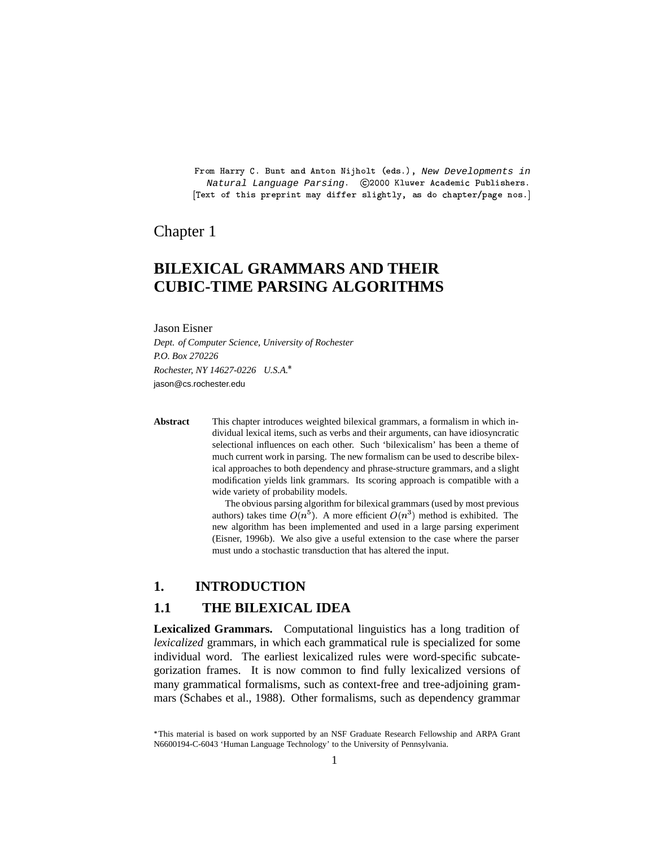From Harry C. Bunt and Anton Nijholt (eds.), New Developments in Natural Language Parsing. (C2000 Kluwer Academic Publishers.  $\mathbb{F}_m$  is a contract of the contract of the contract of the contract of the contract of the contract of the contract of the contract of the contract of the contract of the contract of the contract of the contract of th

### Chapter 1

# **BILEXICAL GRAMMARS AND THEIR CUBIC-TIME PARSING ALGORITHMS**

#### Jason Eisner

*Dept. of Computer Science, University of Rochester P.O. Box 270226 Rochester, NY 14627-0226 U.S.A.* jason@cs.rochester.edu

**Abstract** This chapter introduces weighted bilexical grammars, a formalism in which individual lexical items, such as verbs and their arguments, can have idiosyncratic selectional influences on each other. Such 'bilexicalism' has been a theme of much current work in parsing. The new formalism can be used to describe bilexical approaches to both dependency and phrase-structure grammars, and a slight modification yields link grammars. Its scoring approach is compatible with a wide variety of probability models.

> The obvious parsing algorithm for bilexical grammars (used by most previous authors) takes time  $O(n^5)$ . A more efficient  $O(n^3)$  method is exhibited. The new algorithm has been implemented and used in a large parsing experiment (Eisner, 1996b). We also give a useful extension to the case where the parser must undo a stochastic transduction that has altered the input.

### **1. INTRODUCTION**

### **1.1 THE BILEXICAL IDEA**

**Lexicalized Grammars.** Computational linguistics has a long tradition of *lexicalized* grammars, in which each grammatical rule is specialized for some individual word. The earliest lexicalized rules were word-specific subcategorization frames. It is now common to find fully lexicalized versions of many grammatical formalisms, such as context-free and tree-adjoining grammars (Schabes et al., 1988). Other formalisms, such as dependency grammar

<sup>\*</sup>This material is based on work supported by an NSF Graduate Research Fellowship and ARPA Grant N6600194-C-6043 'Human Language Technology' to the University of Pennsylvania.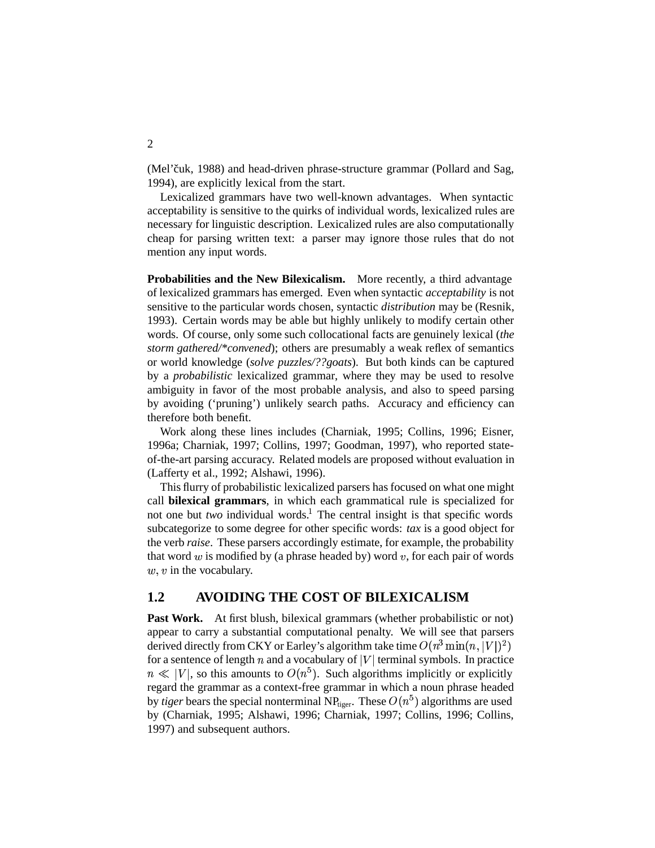(Mel'čuk, 1988) and head-driven phrase-structure grammar (Pollard and Sag, 1994), are explicitly lexical from the start.

Lexicalized grammars have two well-known advantages. When syntactic acceptability is sensitive to the quirks of individual words, lexicalized rules are necessary for linguistic description. Lexicalized rules are also computationally cheap for parsing written text: a parser may ignore those rules that do not mention any input words.

**Probabilities and the New Bilexicalism.** More recently, a third advantage of lexicalized grammars has emerged. Even when syntactic *acceptability* is not sensitive to the particular words chosen, syntactic *distribution* may be (Resnik, 1993). Certain words may be able but highly unlikely to modify certain other words. Of course, only some such collocational facts are genuinely lexical (*the storm gathered/\*convened*); others are presumably a weak reflex of semantics or world knowledge (*solve puzzles/??goats*). But both kinds can be captured by a *probabilistic* lexicalized grammar, where they may be used to resolve ambiguity in favor of the most probable analysis, and also to speed parsing by avoiding ('pruning') unlikely search paths. Accuracy and efficiency can therefore both benefit.

Work along these lines includes (Charniak, 1995; Collins, 1996; Eisner, 1996a; Charniak, 1997; Collins, 1997; Goodman, 1997), who reported stateof-the-art parsing accuracy. Related models are proposed without evaluation in (Lafferty et al., 1992; Alshawi, 1996).

This flurry of probabilistic lexicalized parsers has focused on what one might call **bilexical grammars**, in which each grammatical rule is specialized for not one but *two* individual words. The central insight is that specific words subcategorize to some degree for other specific words: *tax* is a good object for the verb *raise*. These parsers accordingly estimate, for example, the probability that word  $w$  is modified by (a phrase headed by) word  $v$ , for each pair of words  $w, v$  in the vocabulary.

### **1.2 AVOIDING THE COST OF BILEXICALISM**

**Past Work.** At first blush, bilexical grammars (whether probabilistic or not) appear to carry a substantial computational penalty. We will see that parsers derived directly from CKY or Earley's algorithm take time  $O(n^3 \min(n, |V|)^2)$ for a sentence of length  $n$  and a vocabulary of  $|V|$  terminal symbols. In practice  $n \ll |V|$ , so this amounts to  $O(n^5)$ . Such algorithms implicitly or explicitly regard the grammar as a context-free grammar in which a noun phrase headed by *tiger* bears the special nonterminal NP<sub>tiger</sub>. These  $O(n^5)$  algorithms are used by (Charniak, 1995; Alshawi, 1996; Charniak, 1997; Collins, 1996; Collins, 1997) and subsequent authors.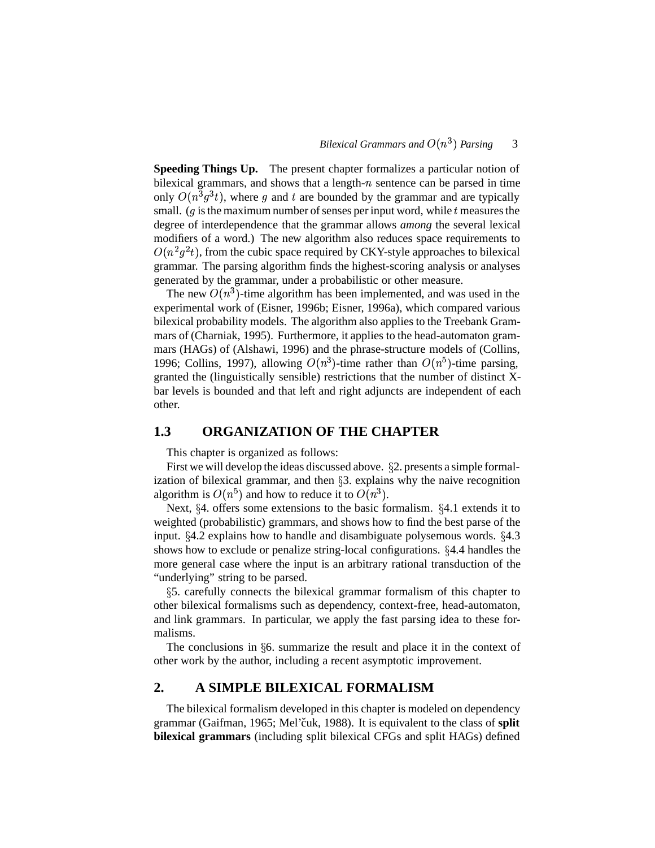**Speeding Things Up.** The present chapter formalizes a particular notion of bilexical grammars, and shows that a length- $n$  sentence can be parsed in time only  $O(n^3 g^3 t)$ , where g and t are bounded by the grammar and are typically small. ( $g$  is the maximum number of senses per input word, while  $t$  measures the degree of interdependence that the grammar allows *among* the several lexical modifiers of a word.) The new algorithm also reduces space requirements to  $O(n^2g^2t)$ , from the cubic space required by CKY-style approaches to bilexical grammar. The parsing algorithm finds the highest-scoring analysis or analyses generated by the grammar, under a probabilistic or other measure.

The new  $O(n^3)$ -time algorithm has been implemented, and was used in the experimental work of (Eisner, 1996b; Eisner, 1996a), which compared various bilexical probability models. The algorithm also applies to the Treebank Grammars of (Charniak, 1995). Furthermore, it applies to the head-automaton grammars (HAGs) of (Alshawi, 1996) and the phrase-structure models of (Collins, 1996; Collins, 1997), allowing  $O(n^3)$ -time rather than  $O(n^5)$ -time parsing, granted the (linguistically sensible) restrictions that the number of distinct Xbar levels is bounded and that left and right adjuncts are independent of each other.

### **1.3 ORGANIZATION OF THE CHAPTER**

This chapter is organized as follows:

First we will develop the ideas discussed above.  $\S$ 2. presents a simple formalization of bilexical grammar, and then  $\S$ 3. explains why the naive recognition algorithm is  $O(n^5)$  and how to reduce it to  $O(n^3)$ .

Next,  $\S 4$ . offers some extensions to the basic formalism.  $\S 4.1$  extends it to weighted (probabilistic) grammars, and shows how to find the best parse of the input.  $\S 4.2$  explains how to handle and disambiguate polysemous words.  $\S 4.3$ shows how to exclude or penalize string-local configurations.  $\S 4.4$  handles the more general case where the input is an arbitrary rational transduction of the "underlying" string to be parsed.

 5. carefully connects the bilexical grammar formalism of this chapter to other bilexical formalisms such as dependency, context-free, head-automaton, and link grammars. In particular, we apply the fast parsing idea to these formalisms.

The conclusions in  $66$ , summarize the result and place it in the context of other work by the author, including a recent asymptotic improvement.

### **2. A SIMPLE BILEXICAL FORMALISM**

The bilexical formalism developed in this chapter is modeled on dependency grammar (Gaifman, 1965; Mel'čuk, 1988). It is equivalent to the class of **split bilexical grammars** (including split bilexical CFGs and split HAGs) defined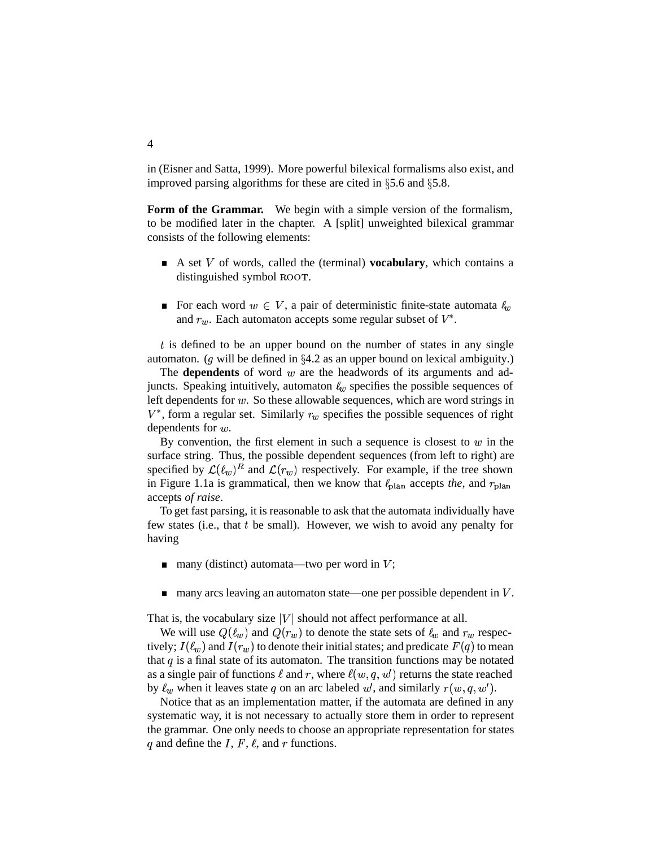in (Eisner and Satta, 1999). More powerful bilexical formalisms also exist, and improved parsing algorithms for these are cited in  $\S 5.6$  and  $\S 5.8$ .

**Form of the Grammar.** We begin with a simple version of the formalism, to be modified later in the chapter. A [split] unweighted bilexical grammar consists of the following elements:

- $\blacksquare$  A set V of words, called the (terminal) **vocabulary**, which contains a distinguished symbol ROOT.
- For each word  $w \in V$ , a pair of deterministic finite-state automata  $\ell_w$ and  $r_w$ . Each automaton accepts some regular subset of  $V^*$ .

 $t$  is defined to be an upper bound on the number of states in any single automaton. (g will be defined in  $\S 4.2$  as an upper bound on lexical ambiguity.)

The **dependents** of word  $w$  are the headwords of its arguments and adjuncts. Speaking intuitively, automaton  $\ell_w$  specifies the possible sequences of left dependents for  $w$ . So these allowable sequences, which are word strings in  $V^*$ , form a regular set. Similarly  $r_w$  specifies the possible sequences of right dependents for  $w$ .

By convention, the first element in such a sequence is closest to  $w$  in the surface string. Thus, the possible dependent sequences (from left to right) are specified by  $\mathcal{L}(\ell_w)^R$  and  $\mathcal{L}(r_w)$  respectively. For example, if the tree shown in Figure 1.1a is grammatical, then we know that  $\ell_{\text{plan}}$  accepts *the*, and  $r_{\text{plan}}$ accepts *of raise*.

To get fast parsing, it is reasonable to ask that the automata individually have few states (i.e., that  $t$  be small). However, we wish to avoid any penalty for having

- many (distinct) automata—two per word in  $V$ ; П
- many arcs leaving an automaton state—one per possible dependent in  $V$ .  $\blacksquare$

That is, the vocabulary size  $|V|$  should not affect performance at all.

We will use  $Q(\ell_w)$  and  $Q(r_w)$  to denote the state sets of  $\ell_w$  and  $r_w$  respectively;  $I(\ell_w)$  and  $I(r_w)$  to denote their initial states; and predicate  $F(q)$  to mean that  $q$  is a final state of its automaton. The transition functions may be notated as a single pair of functions  $\ell$  and  $r$ , where  $\ell(w, q, w')$  returns the state reached by  $\ell_w$  when it leaves state q on an arc labeled w, and similarly  $r(w, q, w')$ .

Notice that as an implementation matter, if the automata are defined in any systematic way, it is not necessary to actually store them in order to represent the grammar. One only needs to choose an appropriate representation for states q and define the I,  $F$ ,  $\ell$ , and  $r$  functions.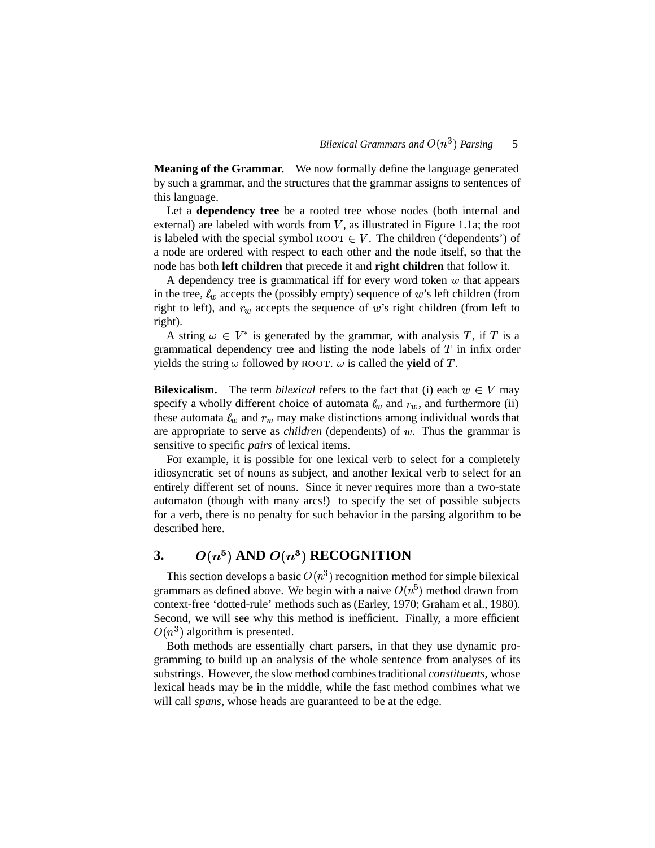**Meaning of the Grammar.** We now formally define the language generated by such a grammar, and the structures that the grammar assigns to sentences of this language.

Let a **dependency tree** be a rooted tree whose nodes (both internal and external) are labeled with words from  $V$ , as illustrated in Figure 1.1a; the root is labeled with the special symbol  $_{\text{ROOT}} \in V$ . The children ('dependents') of a node are ordered with respect to each other and the node itself, so that the node has both **left children** that precede it and **right children** that follow it.

A dependency tree is grammatical iff for every word token  $w$  that appears in the tree,  $\ell_w$  accepts the (possibly empty) sequence of  $w$ 's left children (from right to left), and  $r_w$  accepts the sequence of  $w$ 's right children (from left to right).

A string  $\omega \in V^*$  is generated by the grammar, with analysis T, if T is a grammatical dependency tree and listing the node labels of  $T$  in infix order yields the string  $\omega$  followed by ROOT.  $\omega$  is called the **yield** of T.

**Bilexicalism.** The term *bilexical* refers to the fact that (i) each  $w \in V$  may specify a wholly different choice of automata  $\ell_w$  and  $r_w$ , and furthermore (ii) these automata  $\ell_w$  and  $r_w$  may make distinctions among individual words that are appropriate to serve as *children* (dependents) of  $w$ . Thus the grammar is sensitive to specific *pairs* of lexical items.

For example, it is possible for one lexical verb to select for a completely idiosyncratic set of nouns as subject, and another lexical verb to select for an entirely different set of nouns. Since it never requires more than a two-state automaton (though with many arcs!) to specify the set of possible subjects for a verb, there is no penalty for such behavior in the parsing algorithm to be described here.

#### **3.** - $O(n^5)$  AND  $O(n^3)$  RECOGNITION

This section develops a basic  $O(n^3)$  recognition method for simple bilexical grammars as defined above. We begin with a naive  $O(n^5)$  method drawn from context-free 'dotted-rule' methods such as (Earley, 1970; Graham et al., 1980). Second, we will see why this method is inefficient. Finally, a more efficient  $O(n^3)$  algorithm is presented.

Both methods are essentially chart parsers, in that they use dynamic programming to build up an analysis of the whole sentence from analyses of its substrings. However, the slow method combinestraditional *constituents*, whose lexical heads may be in the middle, while the fast method combines what we will call *spans*, whose heads are guaranteed to be at the edge.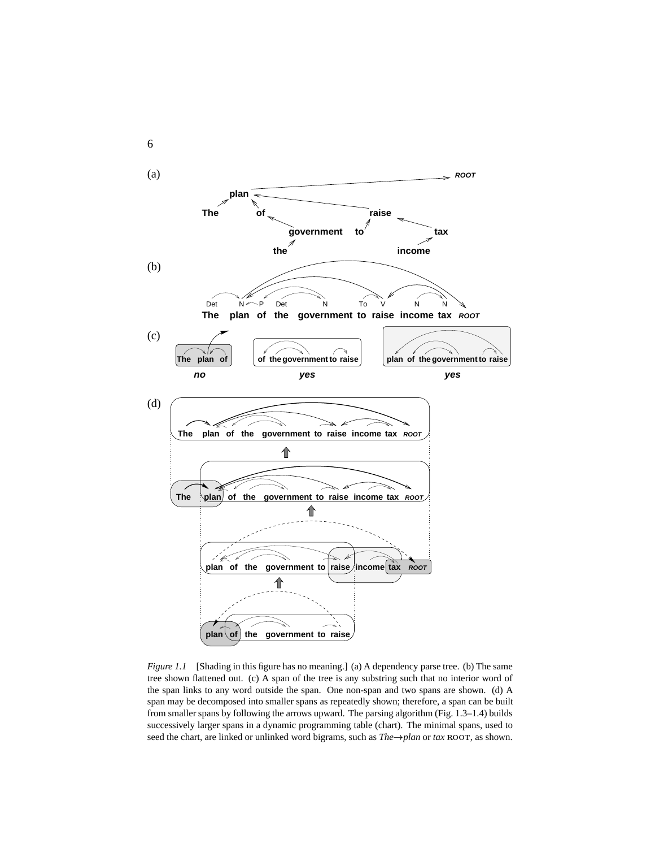

*Figure 1.1* [Shading in this figure has no meaning.] (a) A dependency parse tree. (b) The same tree shown flattened out. (c) A span of the tree is any substring such that no interior word of the span links to any word outside the span. One non-span and two spans are shown. (d) A span may be decomposed into smaller spans as repeatedly shown; therefore, a span can be built from smaller spans by following the arrows upward. The parsing algorithm (Fig. 1.3–1.4) builds successively larger spans in a dynamic programming table (chart). The minimal spans, used to seed the chart, are linked or unlinked word bigrams, such as  $The \rightarrow plan$  or  $tax$   $Root$ , as shown.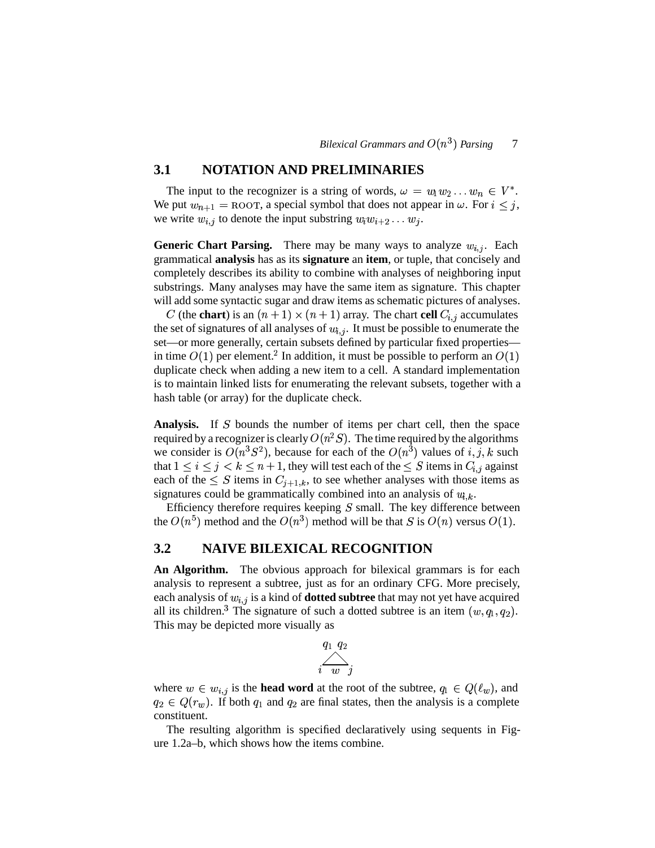### **3.1 NOTATION AND PRELIMINARIES**

The input to the recognizer is a string of words,  $\omega = w_1 w_2 ... w_n \in V^*$ . We put  $w_{n+1} = \text{ROT}$ , a special symbol that does not appear in  $\omega$ . For  $i \leq j$ , , we write  $w_{i,j}$  to denote the input substring  $w_i w_{i+2} \dots w_j$ .

**Generic Chart Parsing.** There may be many ways to analyze  $w_{i,j}$ . Each grammatical **analysis** has as its **signature** an **item**, or tuple, that concisely and completely describes its ability to combine with analyses of neighboring input substrings. Many analyses may have the same item as signature. This chapter will add some syntactic sugar and draw items as schematic pictures of analyses.

C (the **chart**) is an  $(n+1) \times (n+1)$  array. The chart **cell**  $C_{i,j}$  accumulates the set of signatures of all analyses of  $w_{i,j}$ . It must be possible to enumerate the set—or more generally, certain subsets defined by particular fixed properties in time  $O(1)$  per element.<sup>2</sup> In addition, it must be possible to perform an  $O(1)$ duplicate check when adding a new item to a cell. A standard implementation is to maintain linked lists for enumerating the relevant subsets, together with a hash table (or array) for the duplicate check.

Analysis. If S bounds the number of items per chart cell, then the space required by a recognizer is clearly  $O(n^2S)$ . The time required by the algorithms we consider is  $O(n^3S^2)$ , because for each of the  $O(n^3)$  values of i, j, k such that  $1 \leq i \leq j < k \leq n+1$ , they will test each of the  $\leq S$  items in  $C_{i,j}$  against each of the  $\leq S$  items in  $C_{i+1,k}$ , to see whether analyses with those items as signatures could be grammatically combined into an analysis of  $w_{i,k}$ .

Efficiency therefore requires keeping  $S$  small. The key difference between the  $O(n^5)$  method and the  $O(n^3)$  method will be that S is  $O(n)$  versus  $O(1)$ .

## **3.2 NAIVE BILEXICAL RECOGNITION**

**An Algorithm.** The obvious approach for bilexical grammars is for each analysis to represent a subtree, just as for an ordinary CFG. More precisely, each analysis of  $w_{i,j}$  is a kind of **dotted subtree** that may not yet have acquired all its children.<sup>3</sup> The signature of such a dotted subtree is an item  $(w, q_1, q_2)$ . This may be depicted more visually as

$$
\overbrace{i-w}^{q_1\; q_2}{}^{j}
$$

where  $w \in w_{i,j}$  is the **head word** at the root of the subtree,  $q_1 \in Q(\ell_w)$ , and  $q_2 \in Q(r_w)$ . If both  $q_1$  and  $q_2$  are final states, then the analysis is a complete constituent.

The resulting algorithm is specified declaratively using sequents in Figure 1.2a–b, which shows how the items combine.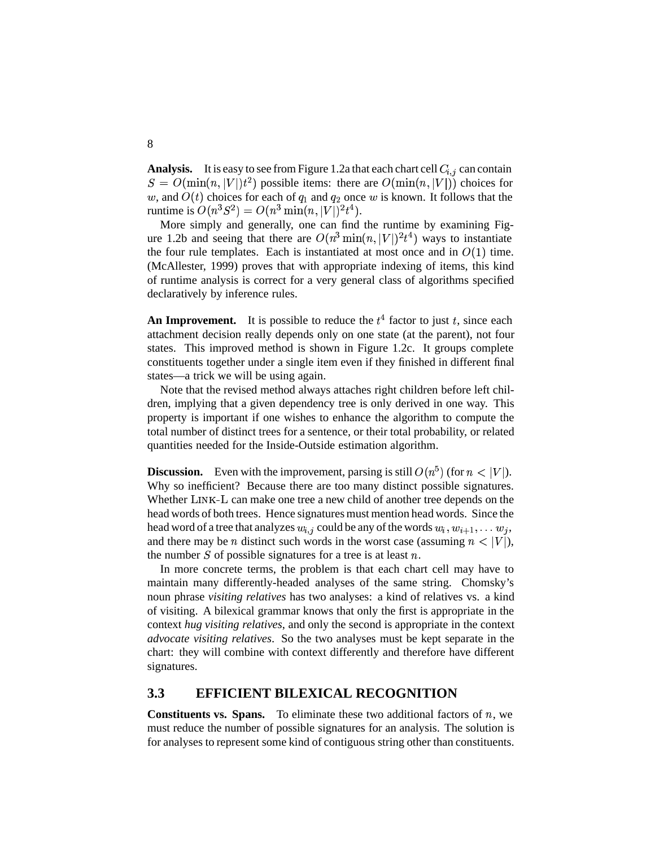**Analysis.** It is easy to see from Figure 1.2a that each chart cell  $C_{i,j}$  can contain  $S = O(\min(n, |V|) t^2)$  possible items: there are  $O(\min(n, |V|))$  choices for w, and  $O(t)$  choices for each of  $q_1$  and  $q_2$  once w is known. It follows that the runtime is  $O(n^3S^2) = O(n^3 \min(n, |V|)^2 t^4)$ .  $t^4$ ).

More simply and generally, one can find the runtime by examining Figure 1.2b and seeing that there are  $O(n^3 \min(n, |V|)^2 t^4)$  ways to i  $t^4$ ) ways to instantiate the four rule templates. Each is instantiated at most once and in  $O(1)$  time. (McAllester, 1999) proves that with appropriate indexing of items, this kind of runtime analysis is correct for a very general class of algorithms specified declaratively by inference rules.

An Improvement. It is possible to reduce the  $t^4$  factor to just  $t$ , since each attachment decision really depends only on one state (at the parent), not four states. This improved method is shown in Figure 1.2c. It groups complete constituents together under a single item even if they finished in different final states—a trick we will be using again.

Note that the revised method always attaches right children before left children, implying that a given dependency tree is only derived in one way. This property is important if one wishes to enhance the algorithm to compute the total number of distinct trees for a sentence, or their total probability, or related quantities needed for the Inside-Outside estimation algorithm.

**Discussion.** Even with the improvement, parsing is still  $O(n^5)$  (for  $n < |V|$ ). Why so inefficient? Because there are too many distinct possible signatures. Whether LINK-L can make one tree a new child of another tree depends on the head words of both trees. Hence signatures must mention head words. Since the head word of a tree that analyzes  $w_{i,j}$  could be any of the words  $w_i, w_{i+1}, \ldots w_j$ , and there may be *n* distinct such words in the worst case (assuming  $n < |V|$ ), the number S of possible signatures for a tree is at least  $n$ .

In more concrete terms, the problem is that each chart cell may have to maintain many differently-headed analyses of the same string. Chomsky's noun phrase *visiting relatives* has two analyses: a kind of relatives vs. a kind of visiting. A bilexical grammar knows that only the first is appropriate in the context *hug visiting relatives*, and only the second is appropriate in the context *advocate visiting relatives*. So the two analyses must be kept separate in the chart: they will combine with context differently and therefore have different signatures.

#### **3.3 EFFICIENT BILEXICAL RECOGNITION**

**Constituents vs. Spans.** To eliminate these two additional factors of  $n$ , we must reduce the number of possible signatures for an analysis. The solution is for analyses to represent some kind of contiguous string other than constituents.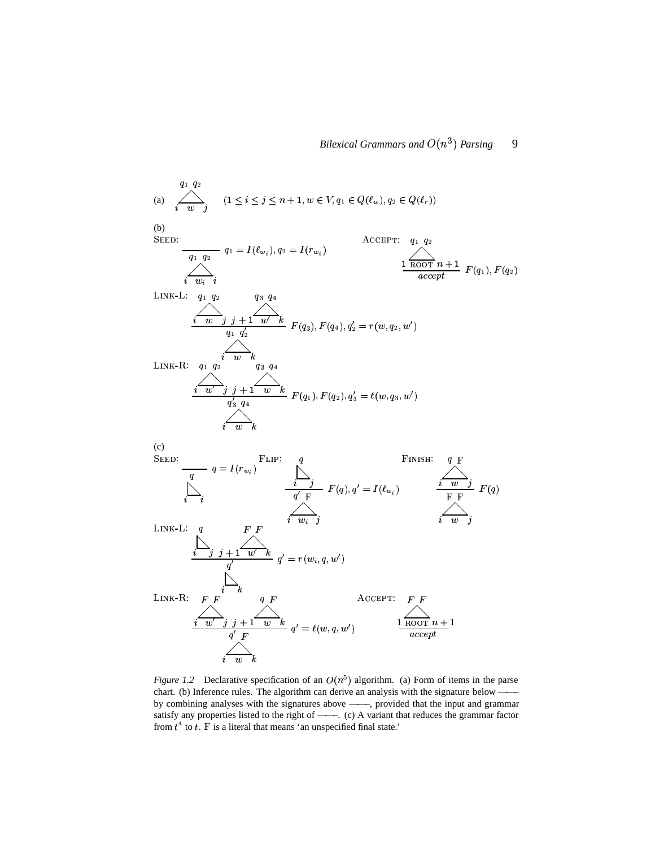(a) 
$$
\sum_{i=0}^{q_1} q_2
$$
  $(1 \leq i \leq j \leq n+1, w \in V, q_1 \in Q(\ell_w), q_2 \in Q(\ell_r))$   
\n(b)  $\sum_{\text{SEED}}$   
\n $\sum_{i=0}^{q_1} q_2$   $q_1 = I(\ell_{w_i}), q_2 = I(r_{w_i})$   
\n $\sum_{i=0}^{n} \sum_{i=0}^{q_2} q_i$   
\n $\sum_{i=0}^{n} \sum_{i=0}^{n} q_i$   
\n $\sum_{i=0}^{n} \sum_{j=1}^{n} f(q_3), F(q_4), q_2' = r(w, q_2, w')$   
\n $\sum_{i=0}^{n} \sum_{j=1}^{n} F(q_3), F(q_4), q_2' = r(w, q_2, w')$   
\n $\sum_{i=0}^{n} \sum_{j=1}^{n} f(q_3, q_4)$   
\n $\sum_{i=0}^{n} \sum_{j=0}^{n} f(q_1), F(q_2), q_3' = \ell(w, q_3, w')$   
\n(c)  $\sum_{\text{SEED}}$   
\n $\sum_{i=0}^{n} q = I(r_{w_i})$   
\n $\sum_{i=0}^{n} \sum_{j=1}^{n} F(q), q' = I(\ell_{w_i})$   
\n $\sum_{i=0}^{n} \sum_{j=1}^{n} F(q)$   
\n $\sum_{i=0}^{n} \sum_{j=1}^{n} F(q)$   
\n $\sum_{i=0}^{n} \sum_{j=1}^{n} F(q)$   
\n $\sum_{i=0}^{n} \sum_{j=1}^{n} F(q)$   
\n $\sum_{i=0}^{n} \sum_{j=1}^{n} f(q)$   
\n $\sum_{i=0}^{n} f(q)$   
\n $\sum_{i=0}^{n} f(q)$   
\n $\sum_{i=0}^{n} f(q)$   
\n $\sum_{i=0}^{n} f(q)$   
\n $\sum_{i=0}^{n} f(q)$   
\n $\sum_{i=0}^{n} f(q)$   
\n $\sum_{i=0}^{n} f(q)$ <

*Figure 1.2* Declarative specification of an  $O(n^5)$  algorithm. (a) Form of items in the parse chart. (b) Inference rules. The algorithm can derive an analysis with the signature below by combining analyses with the signatures above ——–, provided that the input and grammar satisfy any properties listed to the right of ——–. (c) A variant that reduces the grammar factor from  $t^4$  to t. F is a literal that means 'an unspecified final state.'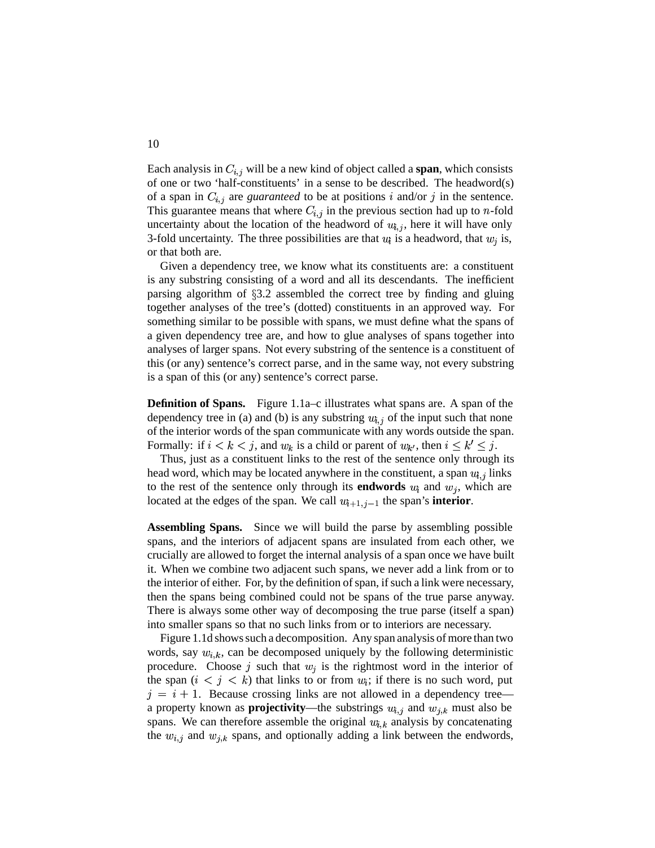Each analysis in  $C_{i,j}$  will be a new kind of object called a **span**, which consists of one or two 'half-constituents' in a sense to be described. The headword(s) of a span in  $C_{i,j}$  are *guaranteed* to be at positions i and/or j in the sentence. This guarantee means that where  $C_{i,j}$  in the previous section had up to *n*-fold uncertainty about the location of the headword of  $w_{i,j}$ , here it will have only 3-fold uncertainty. The three possibilities are that  $u_i$  is a headword, that  $w_j$  is, or that both are.

Given a dependency tree, we know what its constituents are: a constituent is any substring consisting of a word and all its descendants. The inefficient parsing algorithm of  $\S3.2$  assembled the correct tree by finding and gluing together analyses of the tree's (dotted) constituents in an approved way. For something similar to be possible with spans, we must define what the spans of a given dependency tree are, and how to glue analyses of spans together into analyses of larger spans. Not every substring of the sentence is a constituent of this (or any) sentence's correct parse, and in the same way, not every substring is a span of this (or any) sentence's correct parse.

**Definition of Spans.** Figure 1.1a–c illustrates what spans are. A span of the dependency tree in (a) and (b) is any substring  $u_{i,j}$  of the input such that none of the interior words of the span communicate with any words outside the span. Formally: if  $i < k < j$ , and  $w_k$  is a child or parent of  $w_{k'}$ , then  $i \leq k' \leq j$ . .

Thus, just as a constituent links to the rest of the sentence only through its head word, which may be located anywhere in the constituent, a span  $u_{i,j}$  links to the rest of the sentence only through its **endwords**  $w_i$  and  $w_j$ , which are located at the edges of the span. We call  $w_{i+1,j-1}$  the span's **interior**.

**Assembling Spans.** Since we will build the parse by assembling possible spans, and the interiors of adjacent spans are insulated from each other, we crucially are allowed to forget the internal analysis of a span once we have built it. When we combine two adjacent such spans, we never add a link from or to the interior of either. For, by the definition of span, if such a link were necessary, then the spans being combined could not be spans of the true parse anyway. There is always some other way of decomposing the true parse (itself a span) into smaller spans so that no such links from or to interiors are necessary.

Figure 1.1d shows such a decomposition. Any span analysis of more than two words, say  $w_{i,k}$ , can be decomposed uniquely by the following deterministic procedure. Choose j such that  $w_i$  is the rightmost word in the interior of the span  $(i \lt j \lt k)$  that links to or from  $w_i$ ; if there is no such word, put  $j = i + 1$ . Because crossing links are not allowed in a dependency tree a property known as **projectivity**—the substrings  $w_{i,j}$  and  $w_{j,k}$  must also be spans. We can therefore assemble the original  $w_{i,k}$  analysis by concatenating the  $w_{i,j}$  and  $w_{j,k}$  spans, and optionally adding a link between the endwords,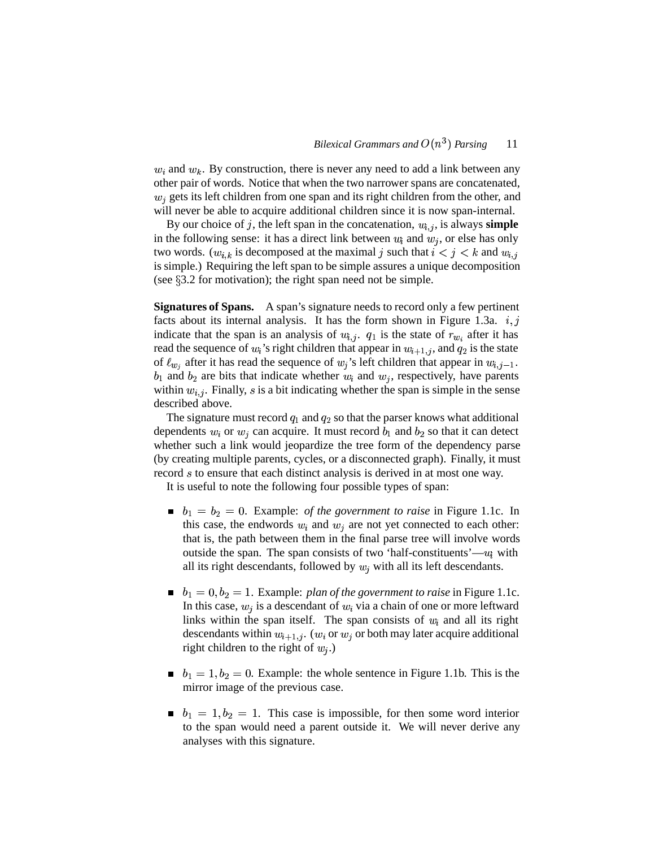$w_i$  and  $w_k$ . By construction, there is never any need to add a link between any other pair of words. Notice that when the two narrower spans are concatenated,  $w_i$  gets its left children from one span and its right children from the other, and will never be able to acquire additional children since it is now span-internal.

By our choice of  $j$ , the left span in the concatenation,  $w_{i,j}$ , is always **simple** in the following sense: it has a direct link between  $u_i$  and  $w_i$ , or else has only two words.  $(w_{i,k}$  is decomposed at the maximal j such that  $i < j < k$  and  $w_{i,j}$ is simple.) Requiring the left span to be simple assures a unique decomposition (see  $\S 3.2$  for motivation); the right span need not be simple.

**Signatures of Spans.** A span's signature needs to record only a few pertinent facts about its internal analysis. It has the form shown in Figure 1.3a.  $i, j$ indicate that the span is an analysis of  $w_{i,j}$ .  $q_1$  is the state of  $r_{w_i}$  after it has read the sequence of  $w_i$ 's right children that appear in  $w_{i+1,j}$ , and  $q_2$  is the state of  $\ell_{w_i}$  after it has read the sequence of  $w_i$ 's left children that appear in  $w_{i,j-1}$ .  $b_1$  and  $b_2$  are bits that indicate whether  $w_i$  and  $w_j$ , respectively, have parents within  $w_{i,j}$ . Finally, s is a bit indicating whether the span is simple in the sense described above.

The signature must record  $q_1$  and  $q_2$  so that the parser knows what additional dependents  $w_i$  or  $w_j$  can acquire. It must record  $b_1$  and  $b_2$  so that it can detect whether such a link would jeopardize the tree form of the dependency parse (by creating multiple parents, cycles, or a disconnected graph). Finally, it must record s to ensure that each distinct analysis is derived in at most one way.

It is useful to note the following four possible types of span:

- $b_1 = b_2 = 0$ . Example: *of the government to raise* in Figure 1.1c. In this case, the endwords  $w_i$  and  $w_j$  are not yet connected to each other: that is, the path between them in the final parse tree will involve words outside the span. The span consists of two 'half-constituents'— $u_i$  with all its right descendants, followed by  $w_i$  with all its left descendants.
- $b_1 = 0, b_2 = 1$ . Example: *plan of the government to raise* in Figure 1.1c. In this case,  $w_i$  is a descendant of  $w_i$  via a chain of one or more leftward links within the span itself. The span consists of  $w_i$  and all its right descendants within  $w_{i+1,j}$ . ( $w_i$  or  $w_j$  or both may later acquire additional right children to the right of  $w_i$ .)
- $b_1 = 1, b_2 = 0$ . Example: the whole sentence in Figure 1.1b. This is the mirror image of the previous case.
- $b_1 = 1, b_2 = 1$ . This case is impossible, for then some word interior to the span would need a parent outside it. We will never derive any analyses with this signature.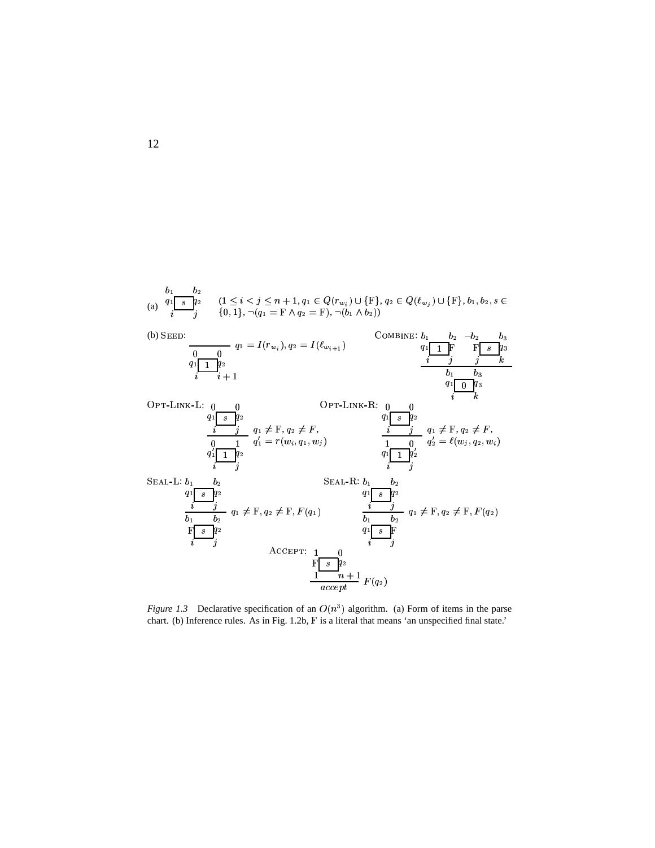

*Figure* 1.3 Declarative specification of an  $O(n^3)$  algorithm. (a) Form of items in the parse chart. (b) Inference rules. As in Fig. 1.2b, F is a literal that means 'an unspecified final state.'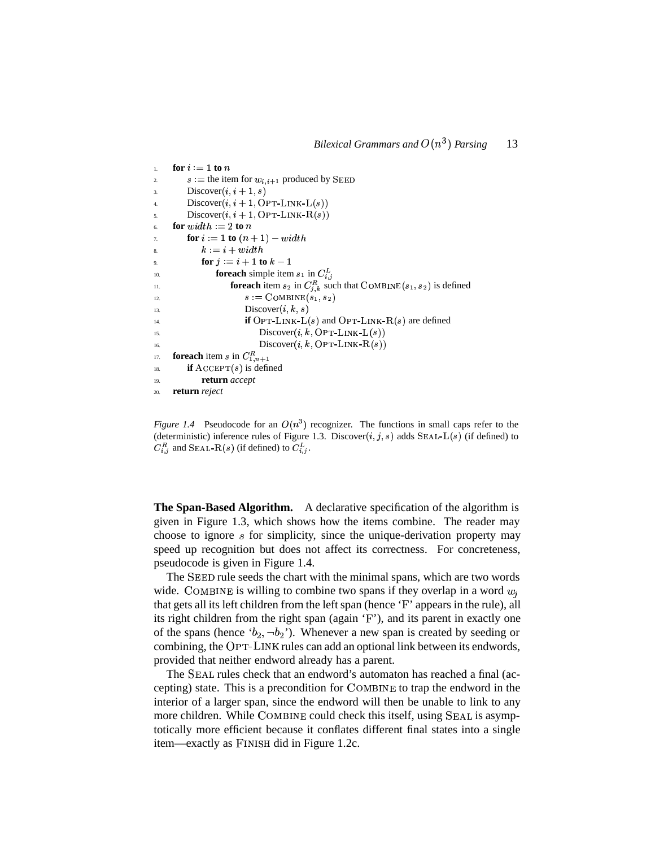```
1. for i = 1 to ns := the item for w_{i,i+1} produced by SEED
3. Discover(i, i+1, s)4. Discover (i, i + 1, \text{OPT-LINK-L}(s))5. Discover(i, i + 1, \text{OPT-LINK-R}(s))6. for width := 2 to nfor i := 1 to (n + 1) - width8. k = i + width9. for j := i + 1 to k - 1\iota<sup>10</sup>. foreach simple item s_1 in C_{i,j}^L<sup>11</sup>. for each item s_2 in C_{j,k}^R such that COMBINE(s_1, s_2) is defined
12. s := \text{COMBINE}(s_1, s_2)13. Discover(i, k, s)<sup>14.</sup> if OPT-LINK-L(s) and OPT-LINK-R(s) are defined
15. Discover(i, k, \text{OPT-LINK-L}(s))16. Discover (i, k, \text{OPT-LINK-R}(s))17. foreach item s in C_{1,n+1}^R<sup>18</sup>. if \text{ACCEPT}(s) is defined
19. return accept
20. return reject
```
*Figure* 1.4 Pseudocode for an  $O(n^3)$  recognizer. The functions in small caps refer to the (deterministic) inference rules of Figure 1.3. Discover  $(i, j, s)$  adds SEAL-L(s) (if defined) to  $C_{i,j}^R$  and SEAL-R(s) (if defined) to  $C_{i,j}^L$ .

**The Span-Based Algorithm.** A declarative specification of the algorithm is given in Figure 1.3, which shows how the items combine. The reader may choose to ignore  $s$  for simplicity, since the unique-derivation property may speed up recognition but does not affect its correctness. For concreteness, pseudocode is given in Figure 1.4.

The SEED rule seeds the chart with the minimal spans, which are two words wide. COMBINE is willing to combine two spans if they overlap in a word  $w_i$ that gets all its left children from the left span (hence 'F' appears in the rule), all its right children from the right span (again  $F'$ ), and its parent in exactly one of the spans (hence ' $b_2$ ,  $\neg b_2$ '). Whenever a new span is created by seeding or combining, the OPT-LINK rules can add an optional link between its endwords, provided that neither endword already has a parent.

The SEAL rules check that an endword's automaton has reached a final (accepting) state. This is a precondition for COMBINE to trap the endword in the interior of a larger span, since the endword will then be unable to link to any more children. While COMBINE could check this itself, using SEAL is asymptotically more efficient because it conflates different final states into a single item—exactly as FINISH did in Figure 1.2c.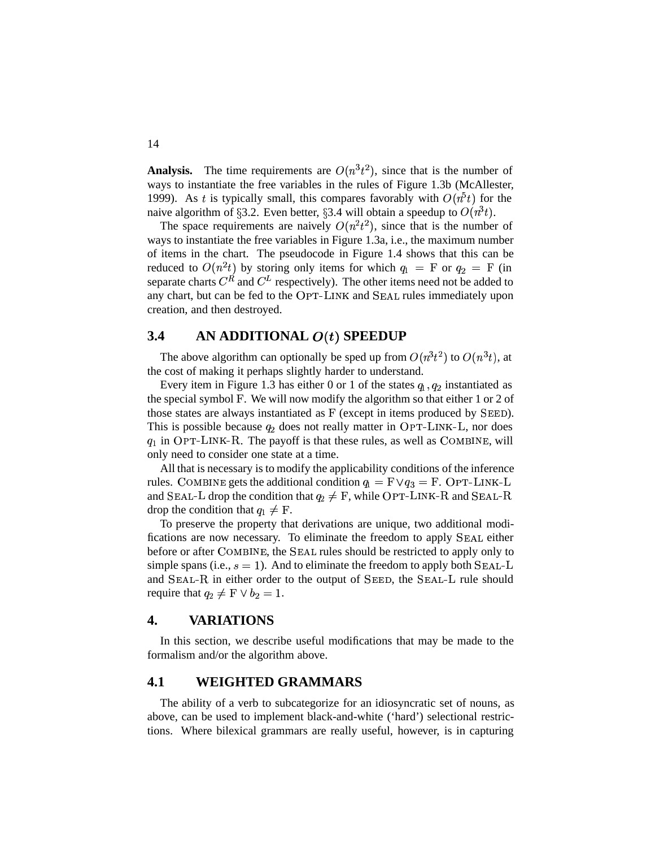**Analysis.** The time requirements are  $O(n^3 t^2)$ , since that is the number of ways to instantiate the free variables in the rules of Figure 1.3b (McAllester, 1999). As t is typically small, this compares favorably with  $O(n^5t)$  for the naive algorithm of  $\S 3.2$ . Even better,  $\S 3.4$  will obtain a speedup to  $O(n^3t)$ .

The space requirements are naively  $O(n^2t^2)$ , since that is the number of ways to instantiate the free variables in Figure 1.3a, i.e., the maximum number of items in the chart. The pseudocode in Figure 1.4 shows that this can be reduced to  $O(n^2 t)$  by storing only items for which  $q_1 = F$  or  $q_2 = F$  (in separate charts  $C^R$  and  $C^L$  respectively). The other items need not be added to any chart, but can be fed to the OPT-LINK and SEAL rules immediately upon creation, and then destroyed.

### **3.4 AN ADDITIONAL**  $O(t)$  **SPEEDUP**

The above algorithm can optionally be sped up from  $O(n^3t^2)$  to  $O(n^3t)$ , at the cost of making it perhaps slightly harder to understand.

Every item in Figure 1.3 has either 0 or 1 of the states  $q_1, q_2$  instantiated as the special symbol F. We will now modify the algorithm so that either 1 or 2 of those states are always instantiated as  $F$  (except in items produced by  $S <sub>BED</sub>$ ). This is possible because  $q_2$  does not really matter in  $OPT-LINK-L$ , nor does  $q_1$  in OPT-LINK-R. The payoff is that these rules, as well as COMBINE, will only need to consider one state at a time.

All that is necessary is to modify the applicability conditions of the inference rules. COMBINE gets the additional condition  $q_1 = F \vee q_3 = F$ . OPT-LINK-L and SEAL-L drop the condition that  $q_2 \neq F$ , while OPT-LINK-R and SEAL-R drop the condition that  $q_1 \neq F$ .

To preserve the property that derivations are unique, two additional modifications are now necessary. To eliminate the freedom to apply SEAL either before or after COMBINE, the SEAL rules should be restricted to apply only to simple spans (i.e.,  $s = 1$ ). And to eliminate the freedom to apply both  $S$ EAL-L and  $S$ EAL- $R$  in either order to the output of  $S$ EED, the  $S$ EAL- $L$  rule should require that  $q_2 \neq F \vee b_2 = 1$ .

### **4. VARIATIONS**

In this section, we describe useful modifications that may be made to the formalism and/or the algorithm above.

### **4.1 WEIGHTED GRAMMARS**

The ability of a verb to subcategorize for an idiosyncratic set of nouns, as above, can be used to implement black-and-white ('hard') selectional restrictions. Where bilexical grammars are really useful, however, is in capturing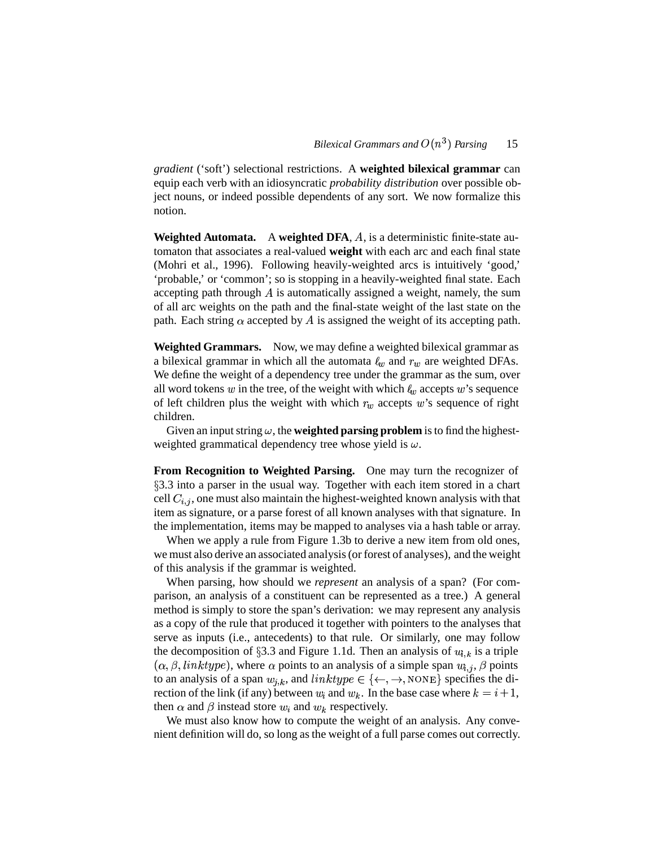*gradient* ('soft') selectional restrictions. A **weighted bilexical grammar** can equip each verb with an idiosyncratic *probability distribution* over possible object nouns, or indeed possible dependents of any sort. We now formalize this notion.

**Weighted Automata.** A weighted DFA, A, is a deterministic finite-state automaton that associates a real-valued **weight** with each arc and each final state (Mohri et al., 1996). Following heavily-weighted arcs is intuitively 'good,' 'probable,' or 'common'; so is stopping in a heavily-weighted final state. Each accepting path through  $A$  is automatically assigned a weight, namely, the sum of all arc weights on the path and the final-state weight of the last state on the path. Each string  $\alpha$  accepted by A is assigned the weight of its accepting path.

**Weighted Grammars.** Now, we may define a weighted bilexical grammar as a bilexical grammar in which all the automata  $l_w$  and  $r_w$  are weighted DFAs. We define the weight of a dependency tree under the grammar as the sum, over all word tokens  $w$  in the tree, of the weight with which  $\ell_w$  accepts  $w$ 's sequence of left children plus the weight with which  $r_w$  accepts w's sequence of right children.

Given an input string  $\omega$ , the **weighted parsing problem** is to find the highestweighted grammatical dependency tree whose yield is  $\omega$ .

**From Recognition to Weighted Parsing.** One may turn the recognizer of 3.3 into a parser in the usual way. Together with each item stored in a chart cell  $C_{i,j}$ , one must also maintain the highest-weighted known analysis with that item as signature, or a parse forest of all known analyses with that signature. In the implementation, items may be mapped to analyses via a hash table or array.

When we apply a rule from Figure 1.3b to derive a new item from old ones, we must also derive an associated analysis(orforest of analyses), and the weight of this analysis if the grammar is weighted.

When parsing, how should we *represent* an analysis of a span? (For comparison, an analysis of a constituent can be represented as a tree.) A general method is simply to store the span's derivation: we may represent any analysis as a copy of the rule that produced it together with pointers to the analyses that serve as inputs (i.e., antecedents) to that rule. Or similarly, one may follow the decomposition of §3.3 and Figure 1.1d. Then an analysis of  $w_{i,k}$  is a triple  $(\alpha, \beta, \text{linktype})$ , where  $\alpha$  points to an analysis of a simple span  $w_{i,j}$ ,  $\beta$  points to an analysis of a span  $w_{i,k}$ , and  $linktype \in \{\leftarrow, \rightarrow, \text{None}\}$  specifies the direction of the link (if any) between  $w_i$  and  $w_k$ . In the base case where  $k = i + 1$ , then  $\alpha$  and  $\beta$  instead store  $w_i$  and  $w_k$  respectively.

We must also know how to compute the weight of an analysis. Any convenient definition will do, so long as the weight of a full parse comes out correctly.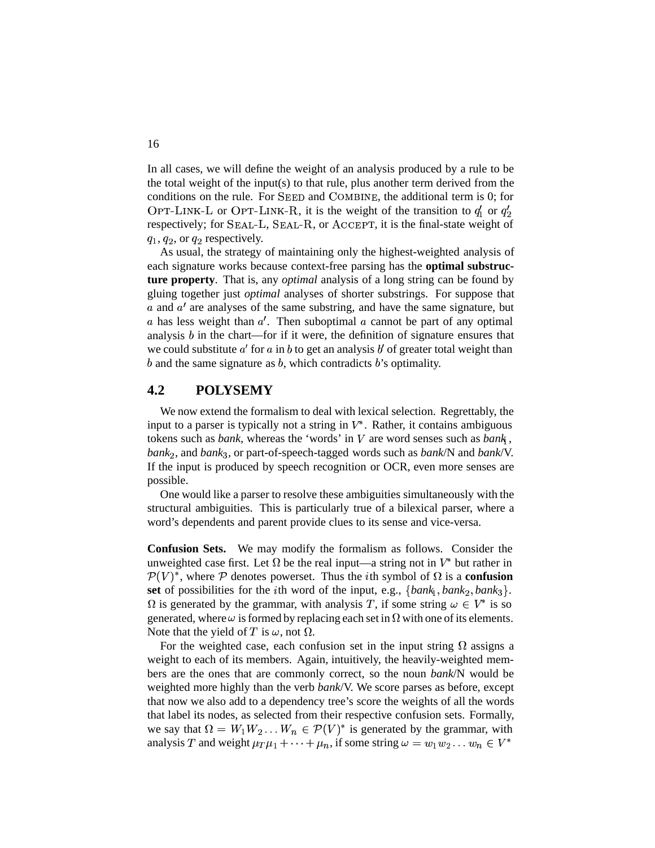In all cases, we will define the weight of an analysis produced by a rule to be the total weight of the input(s) to that rule, plus another term derived from the conditions on the rule. For SEED and COMBINE, the additional term is 0; for OPT-LINK-L or OPT-LINK-R, it is the weight of the transition to  $q'_1$  or  $q'_2$ respectively; for SEAL-L, SEAL-R, or ACCEPT, it is the final-state weight of  $q_1, q_2$ , or  $q_2$  respectively.

 As usual, the strategy of maintaining only the highest-weighted analysis of each signature works because context-free parsing has the **optimal substructure property**. That is, any *optimal* analysis of a long string can be found by gluing together just *optimal* analyses of shorter substrings. For suppose that a and  $a'$  are analyses of the same substring, and have the same signature, but a has less weight than  $a'$ . Then suboptimal a cannot be part of any optimal analysis  $b$  in the chart—for if it were, the definition of signature ensures that we could substitute  $a'$  for  $a$  in  $b$  to get an analysis  $b'$  of greater total weight than  $b$  and the same signature as  $b$ , which contradicts  $b$ 's optimality.

### **4.2 POLYSEMY**

We now extend the formalism to deal with lexical selection. Regrettably, the input to a parser is typically not a string in  $V^*$ . Rather, it contains ambiguous tokens such as *bank*, whereas the 'words' in  $V$  are word senses such as  $\text{bank}_1$ , *bank*, and *bank* , or part-of-speech-tagged words such as *bank*/N and *bank*/V. If the input is produced by speech recognition or OCR, even more senses are possible.

One would like a parser to resolve these ambiguities simultaneously with the structural ambiguities. This is particularly true of a bilexical parser, where a word's dependents and parent provide clues to its sense and vice-versa.

**Confusion Sets.** We may modify the formalism as follows. Consider the unweighted case first. Let  $\Omega$  be the real input—a string not in  $V^*$  but rather in  $\mathcal{P}(V)^*$ , where  $\mathcal P$  denotes powerset. Thus the *i*th symbol of  $\Omega$  is a **confusion** set of possibilities for the *i*th word of the input, e.g.,  $\{bank_1, bank_2, bank_3\}$ .  $\Omega$  is generated by the grammar, with analysis T, if some string  $\omega \in V^*$  is so generated, where  $\omega$  is formed by replacing each set in  $\Omega$  with one of its elements. Note that the yield of T is  $\omega$ , not  $\Omega$ .

For the weighted case, each confusion set in the input string  $\Omega$  assigns a weight to each of its members. Again, intuitively, the heavily-weighted members are the ones that are commonly correct, so the noun *bank*/N would be weighted more highly than the verb *bank*/V. We score parses as before, except that now we also add to a dependency tree's score the weights of all the words that label its nodes, as selected from their respective confusion sets. Formally, we say that  $\Omega = W_1 W_2 \dots W_n \in \mathcal{P}(V)^*$  is generated by the grammar, with analysis T and weight  $\mu_T \mu_1 + \cdots + \mu_n$ , if some string  $\omega = w_1 w_2 \ldots w_n \in V^*$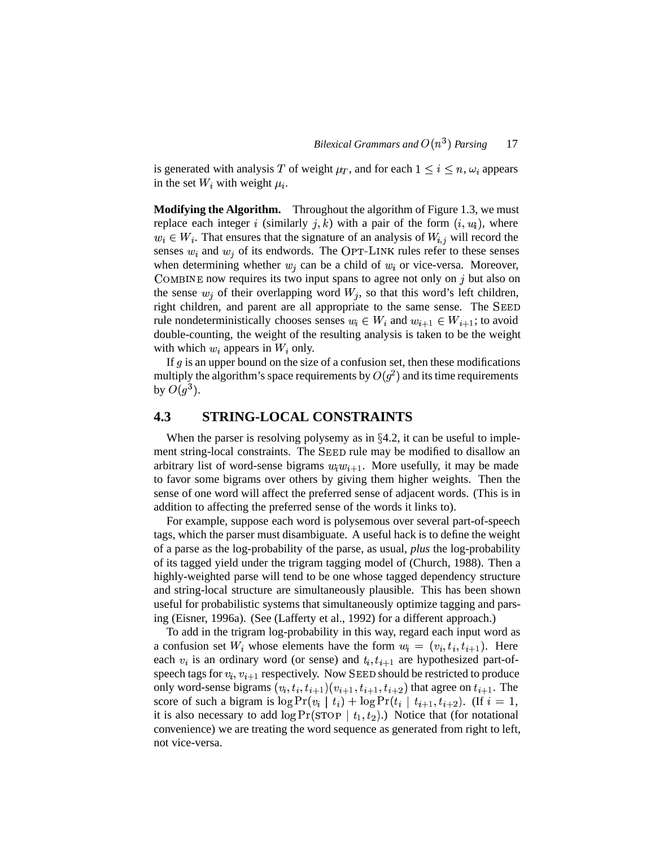is generated with analysis T of weight  $\mu_T$ , and for each  $1 \leq i \leq n$ ,  $\omega_i$  appears in the set  $W_i$  with weight  $\mu_i$ .

**Modifying the Algorithm.** Throughout the algorithm of Figure 1.3, we must replace each integer i (similarly j, k) with a pair of the form  $(i, w_i)$ , where  $w_i \in W_i$ . That ensures that the signature of an analysis of  $W_{i,j}$  will record the senses  $w_i$  and  $w_j$  of its endwords. The OPT-LINK rules refer to these senses when determining whether  $w_j$  can be a child of  $w_i$  or vice-versa. Moreover, COMBINE now requires its two input spans to agree not only on  $j$  but also on the sense  $w_i$  of their overlapping word  $W_i$ , so that this word's left children, right children, and parent are all appropriate to the same sense. The rule nondeterministically chooses senses  $w_i \in W_i$  and  $w_{i+1} \in W_{i+1}$ ; to avoid double-counting, the weight of the resulting analysis is taken to be the weight with which  $w_i$  appears in  $W_i$  only.

If  $g$  is an upper bound on the size of a confusion set, then these modifications multiply the algorithm's space requirements by  $O(g^2)$  and its time requirements by  $O(g^3)$ .

### **4.3 STRING-LOCAL CONSTRAINTS**

When the parser is resolving polysemy as in  $\S 4.2$ , it can be useful to implement string-local constraints. The SEED rule may be modified to disallow an arbitrary list of word-sense bigrams  $w_i w_{i+1}$ . More usefully, it may be made to favor some bigrams over others by giving them higher weights. Then the sense of one word will affect the preferred sense of adjacent words. (This is in addition to affecting the preferred sense of the words it links to).

For example, suppose each word is polysemous over several part-of-speech tags, which the parser must disambiguate. A useful hack is to define the weight of a parse as the log-probability of the parse, as usual, *plus* the log-probability of its tagged yield under the trigram tagging model of (Church, 1988). Then a highly-weighted parse will tend to be one whose tagged dependency structure and string-local structure are simultaneously plausible. This has been shown useful for probabilistic systems that simultaneously optimize tagging and parsing (Eisner, 1996a). (See (Lafferty et al., 1992) for a different approach.)

To add in the trigram log-probability in this way, regard each input word as a confusion set  $W_i$  whose elements have the form  $w_i = (v_i, t_i, t_{i+1})$ . Here each  $v_i$  is an ordinary word (or sense) and  $t_i, t_{i+1}$  are hypothesized part-ofspeech tags for  $v_i, v_{i+1}$  respectively. Now SEED should be restricted to produce only word-sense bigrams  $(v_i, t_i, t_{i+1})(v_{i+1}, t_{i+1}, t_{i+2})$  that agree on  $t_{i+1}$ . The score of such a bigram is  $\log \Pr(v_i | t_i) + \log \Pr(t_i | t_{i+1}, t_{i+2})$ . (If  $i = 1$ , it is also necessary to add  $\log \Pr(\text{STOP } | t_1, t_2)$ .) Notice that (for notational convenience) we are treating the word sequence as generated from right to left, not vice-versa.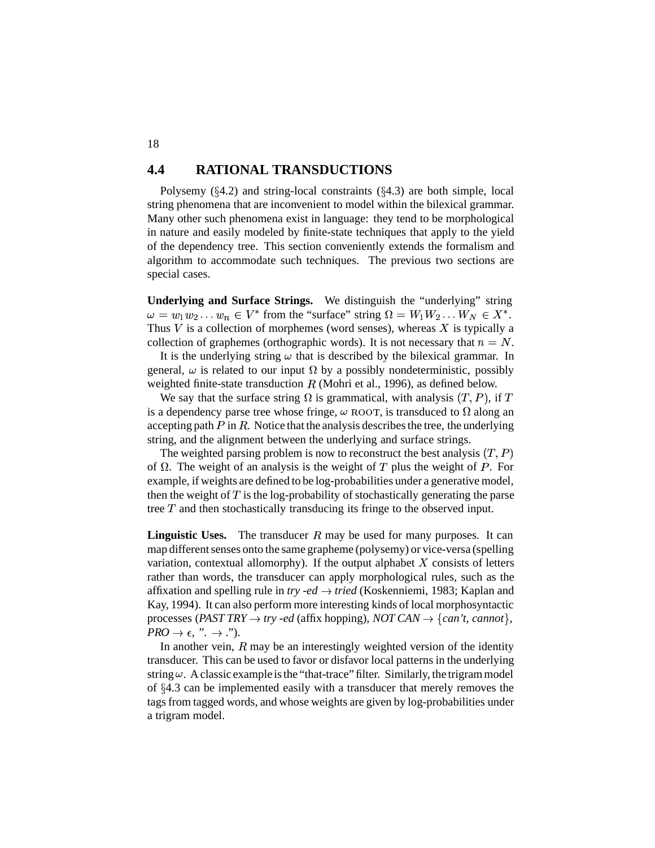#### **4.4 RATIONAL TRANSDUCTIONS**

Polysemy  $(\S4.2)$  and string-local constraints  $(\S4.3)$  are both simple, local string phenomena that are inconvenient to model within the bilexical grammar. Many other such phenomena exist in language: they tend to be morphological in nature and easily modeled by finite-state techniques that apply to the yield of the dependency tree. This section conveniently extends the formalism and algorithm to accommodate such techniques. The previous two sections are special cases.

**Underlying and Surface Strings.** We distinguish the "underlying" string  $\omega = w_1 w_2 \dots w_n \in V^*$  from the "surface" string  $\Omega = W_1 W_2 \dots W_N \in X^*$ . Thus  $V$  is a collection of morphemes (word senses), whereas  $X$  is typically a collection of graphemes (orthographic words). It is not necessary that  $n = N$ .

It is the underlying string  $\omega$  that is described by the bilexical grammar. In general,  $\omega$  is related to our input  $\Omega$  by a possibly nondeterministic, possibly weighted finite-state transduction  $R$  (Mohri et al., 1996), as defined below.

We say that the surface string  $\Omega$  is grammatical, with analysis  $(T, P)$ , if T is a dependency parse tree whose fringe,  $\omega$  ROOT, is transduced to  $\Omega$  along an accepting path  $P$  in  $R$ . Notice that the analysis describes the tree, the underlying string, and the alignment between the underlying and surface strings.

The weighted parsing problem is now to reconstruct the best analysis  $(T, P)$ of  $\Omega$ . The weight of an analysis is the weight of T plus the weight of P. For example, if weights are defined to be log-probabilities under a generative model, then the weight of  $T$  is the log-probability of stochastically generating the parse tree  $T$  and then stochastically transducing its fringe to the observed input.

**Linguistic Uses.** The transducer  $R$  may be used for many purposes. It can map different senses onto the same grapheme (polysemy) or vice-versa (spelling variation, contextual allomorphy). If the output alphabet  $X$  consists of letters rather than words, the transducer can apply morphological rules, such as the affixation and spelling rule in *try -ed*  $\rightarrow$  *tried* (Koskenniemi, 1983; Kaplan and Kay, 1994). It can also perform more interesting kinds of local morphosyntactic processes (*PAST TRY*  $\rightarrow$  *try -ed* (affix hopping), *NOT CAN*  $\rightarrow$  {*can't, cannot*},  $PRO \rightarrow \epsilon$ , ".  $\rightarrow$  .").

In another vein,  $R$  may be an interestingly weighted version of the identity transducer. This can be used to favor or disfavor local patterns in the underlying string  $\omega$ . A classic example is the "that-trace" filter. Similarly, the trigram model of  $§4.3$  can be implemented easily with a transducer that merely removes the tags from tagged words, and whose weights are given by log-probabilities under a trigram model.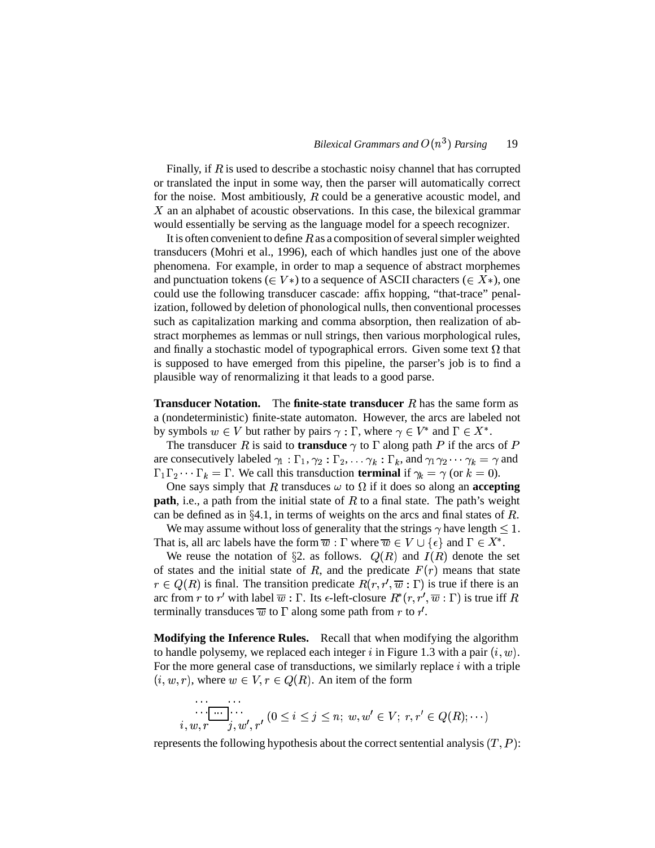Finally, if  $\overline{R}$  is used to describe a stochastic noisy channel that has corrupted or translated the input in some way, then the parser will automatically correct for the noise. Most ambitiously,  $R$  could be a generative acoustic model, and  $X$  an an alphabet of acoustic observations. In this case, the bilexical grammar would essentially be serving as the language model for a speech recognizer.

It is often convenient to define  $R$  as a composition of several simpler weighted transducers (Mohri et al., 1996), each of which handles just one of the above phenomena. For example, in order to map a sequence of abstract morphemes and punctuation tokens ( $\in V^*$ ) to a sequence of ASCII characters ( $\in X^*$ ), one could use the following transducer cascade: affix hopping, "that-trace" penalization, followed by deletion of phonological nulls, then conventional processes such as capitalization marking and comma absorption, then realization of abstract morphemes as lemmas or null strings, then various morphological rules, and finally a stochastic model of typographical errors. Given some text  $\Omega$  that is supposed to have emerged from this pipeline, the parser's job is to find a plausible way of renormalizing it that leads to a good parse.

**Transducer Notation.** The **finite-state transducer** R has the same form as a (nondeterministic) finite-state automaton. However, the arcs are labeled not by symbols  $w \in V$  but rather by pairs  $\gamma : \Gamma$ , where  $\gamma \in V^*$  and  $\Gamma \in X^*$ .

The transducer R is said to **transduce**  $\gamma$  to  $\Gamma$  along path P if the arcs of P are consecutively labeled  $\gamma_1 : \Gamma_1, \gamma_2 : \Gamma_2, \ldots \gamma_k : \Gamma_k$ , and  $\gamma_1 \gamma_2 \cdots \gamma_k = \gamma$  and  $\Gamma_1 \Gamma_2 \cdots \Gamma_k = \Gamma$ . We call this transduction **terminal** if  $\gamma_k = \gamma$  (or  $k = 0$ ).

One says simply that R transduces  $\omega$  to  $\Omega$  if it does so along an **accepting path**, i.e., a path from the initial state of  $R$  to a final state. The path's weight can be defined as in  $\S 4.1$ , in terms of weights on the arcs and final states of R.

We may assume without loss of generality that the strings  $\gamma$  have length  $\leq 1$ . That is, all arc labels have the form  $\overline{w}$  :  $\Gamma$  where  $\overline{w} \in V \cup \{\epsilon\}$  and  $\Gamma \in X^*$ .

We reuse the notation of §2. as follows.  $Q(R)$  and  $I(R)$  denote the set of states and the initial state of R, and the predicate  $F(r)$  means that state  $r \in Q(R)$  is final. The transition predicate  $R(r, r', \overline{w} : \Gamma)$  is true if there is an arc from r to r' with label  $\overline{w}$  :  $\Gamma$ . Its  $\epsilon$ -left-closure  $R^*(r, r', \overline{w} : \Gamma)$  is true iff  $R$ terminally transduces  $\overline{w}$  to  $\Gamma$  along some path from r to r'.

**Modifying the Inference Rules.** Recall that when modifying the algorithm to handle polysemy, we replaced each integer  $i$  in Figure 1.3 with a pair  $(i, w)$ . For the more general case of transductions, we similarly replace  $i$  with a triple  $(i, w, r)$ , where  $w \in V, r \in Q(R)$ . An item of the form

 ! 

 $\dot{i}$ 

represents the following hypothesis about the correct sentential analysis  $(T, P)$ :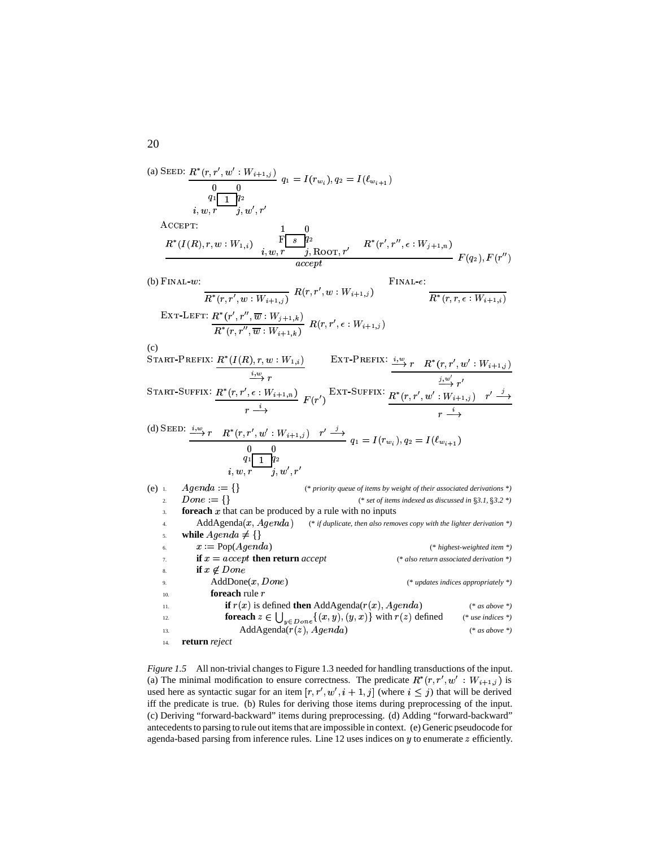(a) SEED:  $R^*(r, r', w' : W_{i+1, i})$  $q_1 \overline{q_1} \overline{q_2}$ <br>i. w. r i. w'. r'  $q_1 = I(r_{w_1}), q_2 = I(\ell_{w_2}, \ldots)$  $A$ CCEPT:  $R^*(I(R), r, w: W_{1,i}) = \frac{\overline{\mathbf{F}\left[\begin{array}{c} s\end{array}\right]}\overline{q}_2}{i, w, r = -j, \text{ROT}, r'} = R^*(r', r'', \epsilon: W_{j+1,n})$  $\frac{1}{2}$   $F(q_2), F(r_1)$ (b)  $\text{Final-}w$ : NICE A REPORT OF THE CONTRACTOR CONTRACTOR  $\frac{R^*(r,r',w:W_{i+1,j})}{R(r,r',w:W_{i+1,j})}$  $\text{Final-}\epsilon$ :  $R^*(r, r, \epsilon : W_{i+1,i})$  $\frac{1}{\mathrm{Ext}(\mathcal{F}',\mathcal{F}'',\overline{w}:W_{j+1,k})} R(r,r',\epsilon:W_{i+1,j})$ (c)<br>Start-Prefix: *R\*(I* EFIX:  $\frac{R^*(I(R), r, w : W_{1,i})}{\frac{i, w}{r} r}$  EXT-PREFIX:  $\frac{i, w}{r}$  $\overline{\mathrm{E}\mathrm{FIX}}\colon \frac{i,w}{N} \, r \quad R^*(r,r',w':W_{i+1,i})$  $\overrightarrow{r}$   $\overrightarrow{r}$ TART-SUFFIX:  $R^*(r, r', \epsilon : W_{i+1, n})$ \*  $\frac{i}{\rightarrow}$   $F(r)$  $\frac{R^*(r, r', w' : W_{i+1,j}) - r' \stackrel{j}{\longrightarrow}}{r \stackrel{i}{\longrightarrow}}$ \* (d) SEED:  $\frac{i,w}{r}$   $r$   $R^*(r, r', w' : W_{i+1,i})$   $r' \stackrel{j}{\longrightarrow}$  $q_1 \overline{ \begin{array}{|c|} \hline q_1 \ \hline 1 \ \hline q_2 \ \hline i, w, r' \ \hline j, w', r' \ \hline \end{array}}$ the contract of the contract of the contract of the contract of the contract of the contract of the contract of  $q_1 = I(r_m)$ ,  $q_2 = I(l_m, \ldots)$ (e) 1.  $A \text{ } \text{ } \text{ } A \text{ } \text{ } a := \{ \}$ (\* *priority queue of items by weight of their associated derivations \*)* 2.  $Done = \{\}$ (\* *set of items indexed as discussed in 3.1, 3.2 \*)* **foreach**  $x$  that can be produced by a rule with no inputs 4. AddAgenda(x, Agenda) (\* if duplicate, then also removes copy with the lighter derivation \*) 5. **while** 7M 3% 6.  $x := Pop(Agenda)$ ) (\* *highest-weighted item \*)* 7. **if**  $x = accept$  **then return** *accept* (\* *also return associated derivation* \*) 8. **if**  $x \notin \text{Done}$ 9.  $AddDone(x, Done)$ ) (\* *updates indices appropriately \*)*  $10.$  **for each** rule  $r$ 11. **if**  $r(x)$  is defined **then** AddAgenda( $r(x)$ , Agenda) ) (\* *as above \*)* 12. **foreach**  $z \in \bigcup_{u \in D \text{ or } n} \{(x, y), (y, x)\}$  with  $r(z)$  defined (\* *use indices* \*) 13. AddAgenda $(r(z), A \text{g} \text{e} \text{n} da)$ ) (\* *as above \*)* 14. **return** *reject*

*Figure* 1.5 All non-trivial changes to Figure 1.3 needed for handling transductions of the input. (a) The minimal modification to ensure correctness. The predicate  $R^*(r, r', w' : W_{i+1,j})$  is used here as syntactic sugar for an item  $[r, r', w', i + 1, j]$  (where  $i \leq j$ ) that will be derived iff the predicate is true. (b) Rules for deriving those items during preprocessing of the input. (c) Deriving "forward-backward" items during preprocessing. (d) Adding "forward-backward" antecedents to parsing to rule out items that are impossible in context. (e) Generic pseudocode for agenda-based parsing from inference rules. Line 12 uses indices on  $y$  to enumerate  $z$  efficiently.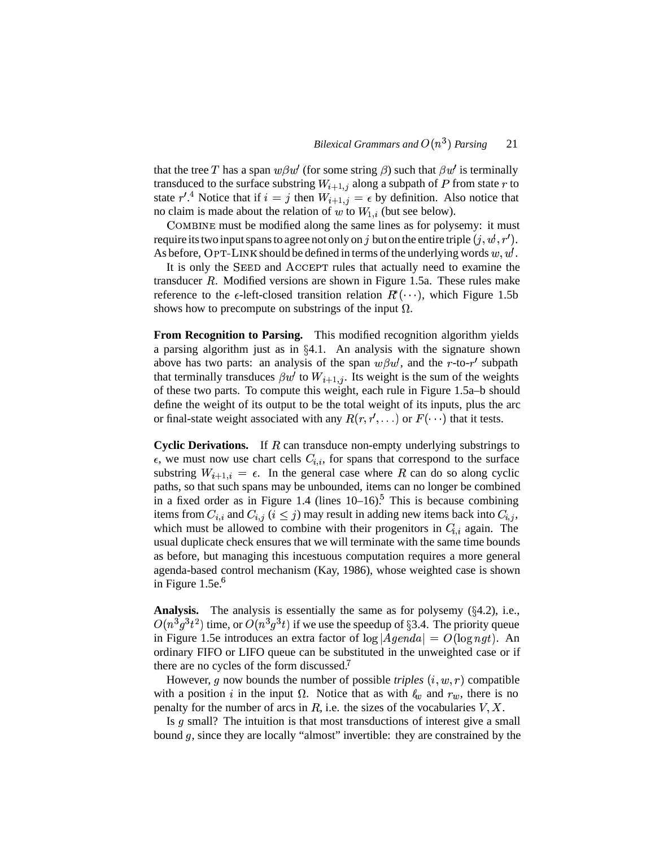that the tree T has a span  $w\beta w'$  (for some string  $\beta$ ) such that  $\beta w'$  is terminally transduced to the surface substring  $W_{i+1,j}$  along a subpath of P from state r to state  $r'^{A}$ . Notice that if  $i = j$  then  $W_{i+1,j} = \epsilon$  by definition. Also notice that no claim is made about the relation of w to  $W_{1,i}$  (but see below).

COMBINE must be modified along the same lines as for polysemy: it must require its two input spans to agree not only on  $j$  but on the entire triple  $(j, w', r')$ . As before,  $\text{OPT-LINK}$  should be defined in terms of the underlying words  $w, w'$ .

It is only the SEED and ACCEPT rules that actually need to examine the transducer  $R$ . Modified versions are shown in Figure 1.5a. These rules make reference to the  $\epsilon$ -left-closed transition relation  $R^*(\cdots)$ , which Figure 1.5b shows how to precompute on substrings of the input  $\Omega$ .

**From Recognition to Parsing.** This modified recognition algorithm yields a parsing algorithm just as in  $\S 4.1$ . An analysis with the signature shown above has two parts: an analysis of the span  $w \beta w'$ , and the r-to-r' subpath that terminally transduces  $\beta w'$  to  $W_{i+1,j}$ . Its weight is the sum of the weights of these two parts. To compute this weight, each rule in Figure 1.5a–b should define the weight of its output to be the total weight of its inputs, plus the arc or final-state weight associated with any  $R(r, r', \ldots)$  or  $F(\cdots)$  that it tests.

**Cyclic Derivations.** If R can transduce non-empty underlying substrings to  $\epsilon$ , we must now use chart cells  $C_{i,i}$ , for spans that correspond to the surface substring  $W_{i+1,i} = \epsilon$ . In the general case where R can do so along cyclic paths, so that such spans may be unbounded, items can no longer be combined in a fixed order as in Figure 1.4 (lines 10–16). This is because combining items from  $C_{i,i}$  and  $C_{i,j}$   $(i \leq j)$  may result in adding new items back into  $C_{i,j}$ , which must be allowed to combine with their progenitors in  $C_{i,i}$  again. The usual duplicate check ensures that we will terminate with the same time bounds as before, but managing this incestuous computation requires a more general agenda-based control mechanism (Kay, 1986), whose weighted case is shown in Figure  $1.5e^{6}$ 

**Analysis.** The analysis is essentially the same as for polysemy  $(\S 4.2)$ , i.e.,  $O(n^3 g^3 t^2)$  time, or  $O(n^3 g^3 t)$  if we use the speedup of §3.4. The priority queue in Figure 1.5e introduces an extra factor of  $\log |A\theta| = O(\log ngt)$ . An ordinary FIFO or LIFO queue can be substituted in the unweighted case or if there are no cycles of the form discussed.<sup>7</sup>

However,  $g$  now bounds the number of possible *triples*  $(i, w, r)$  compatible with a position i in the input  $\Omega$ . Notice that as with  $\ell_w$  and  $r_w$ , there is no penalty for the number of arcs in R, i.e. the sizes of the vocabularies  $V, X$ .

Is  $g$  small? The intuition is that most transductions of interest give a small bound g, since they are locally "almost" invertible: they are constrained by the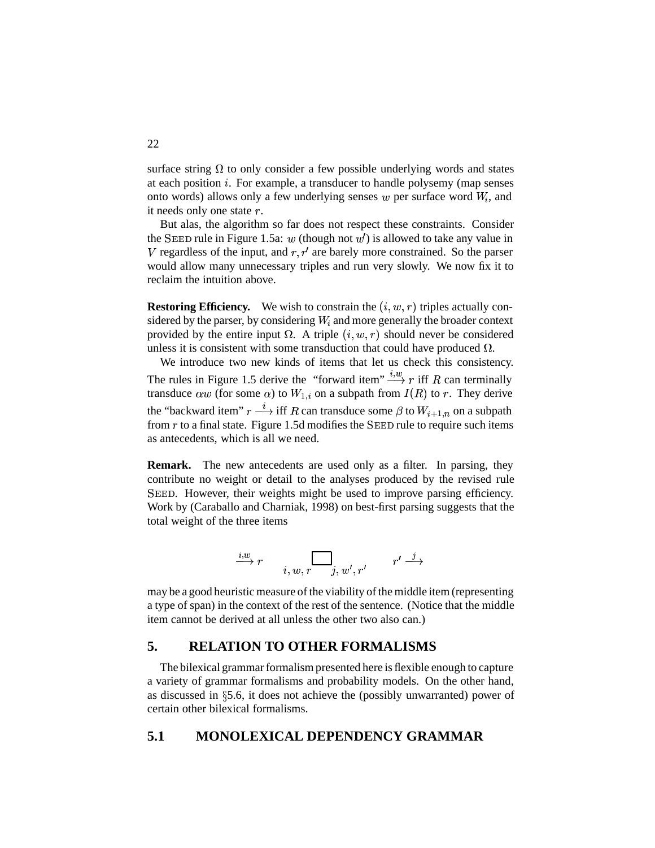surface string  $\Omega$  to only consider a few possible underlying words and states at each position *i*. For example, a transducer to handle polysemy (map senses onto words) allows only a few underlying senses  $w$  per surface word  $W_i$ , and it needs only one state  $r$ .

But alas, the algorithm so far does not respect these constraints. Consider the SEED rule in Figure 1.5a:  $w$  (though not  $w'$ ) is allowed to take any value in V regardless of the input, and  $r, r'$  are barely more constrained. So the parser would allow many unnecessary triples and run very slowly. We now fix it to reclaim the intuition above.

**Restoring Efficiency.** We wish to constrain the  $(i, w, r)$  triples actually considered by the parser, by considering  $W_i$  and more generally the broader context provided by the entire input  $\Omega$ . A triple  $(i, w, r)$  should never be considered unless it is consistent with some transduction that could have produced  $\Omega$ .

We introduce two new kinds of items that let us check this consistency. The rules in Figure 1.5 derive the "forward item"  $\stackrel{i,w}{\longrightarrow} r$  iff R can terminally transduce  $\alpha w$  (for some  $\alpha$ ) to  $W_{1,i}$  on a subpath from  $I(R)$  to r. They derive the "backward item"  $r \stackrel{i}{\longrightarrow}$  iff R can transduce some  $\beta$  to  $W_{i+1,n}$  on a subpath from  $r$  to a final state. Figure 1.5d modifies the SEED rule to require such items as antecedents, which is all we need.

**Remark.** The new antecedents are used only as a filter. In parsing, they contribute no weight or detail to the analyses produced by the revised rule . However, their weights might be used to improve parsing efficiency. Work by (Caraballo and Charniak, 1998) on best-first parsing suggests that the total weight of the three items

$$
\stackrel{i,w}{\longrightarrow} r \qquad \qquad \overrightarrow{i,w,r \qquad j,w',r'} \qquad \quad r' \stackrel{j}{\longrightarrow}
$$

may be a good heuristic measure of the viability of the middle item (representing a type of span) in the context of the rest of the sentence. (Notice that the middle item cannot be derived at all unless the other two also can.)

### **5. RELATION TO OTHER FORMALISMS**

The bilexical grammar formalism presented here is flexible enough to capture a variety of grammar formalisms and probability models. On the other hand, as discussed in  $\S$ 5.6, it does not achieve the (possibly unwarranted) power of certain other bilexical formalisms.

### **5.1 MONOLEXICAL DEPENDENCY GRAMMAR**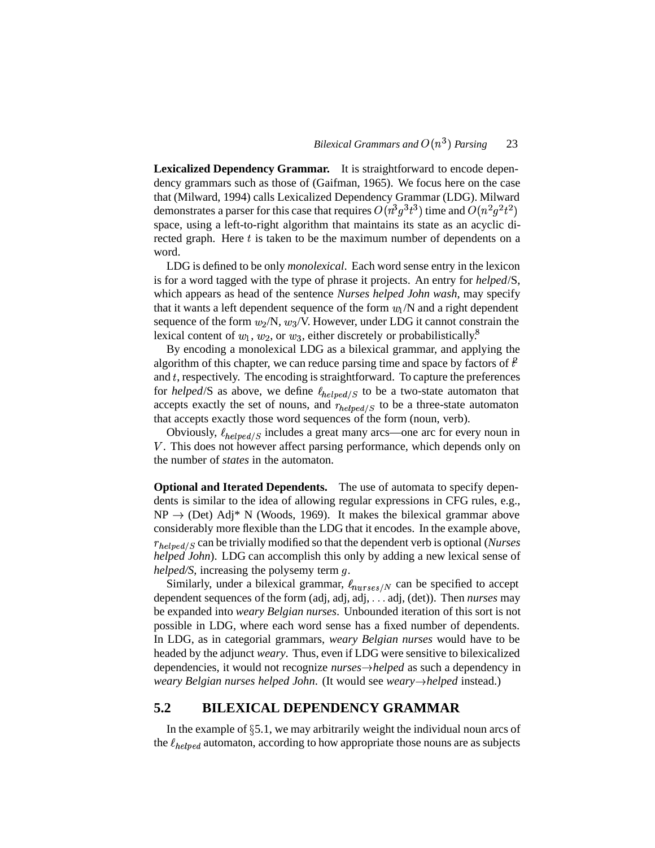**Lexicalized Dependency Grammar.** It is straightforward to encode dependency grammars such as those of (Gaifman, 1965). We focus here on the case that (Milward, 1994) calls Lexicalized Dependency Grammar (LDG). Milward demonstrates a parser for this case that requires  $O(n^3q^3t^3)$  time and  $O(n^2q^2t^2)$ space, using a left-to-right algorithm that maintains its state as an acyclic directed graph. Here  $t$  is taken to be the maximum number of dependents on a word.

LDG is defined to be only *monolexical*. Each word sense entry in the lexicon is for a word tagged with the type of phrase it projects. An entry for *helped*/S, which appears as head of the sentence *Nurses helped John wash*, may specify that it wants a left dependent sequence of the form  $w_1/N$  and a right dependent sequence of the form  $w_2/N$ ,  $w_3/V$ . However, under LDG it cannot constrain the lexical content of  $w_1, w_2$ , or  $w_3$ , either discretely or probabilistically.<sup>8</sup>

 By encoding a monolexical LDG as a bilexical grammar, and applying the algorithm of this chapter, we can reduce parsing time and space by factors of  $\ddot{t}$ and  $t$ , respectively. The encoding is straightforward. To capture the preferences for *helped*/S as above, we define  $\ell_{helped/S}$  to be a two-state automaton that accepts exactly the set of nouns, and  $r_{helped/S}$  to be a three-state automaton that accepts exactly those word sequences of the form (noun, verb).

Obviously,  $\ell_{helped/S}$  includes a great many arcs—one arc for every noun in . This does not however affect parsing performance, which depends only on the number of *states* in the automaton.

**Optional and Iterated Dependents.** The use of automata to specify dependents is similar to the idea of allowing regular expressions in CFG rules, e.g.,  $NP \rightarrow (Det)$  Adj\* N (Woods, 1969). It makes the bilexical grammar above considerably more flexible than the LDG that it encodes. In the example above,  $r_{helped/S}$  can be trivially modified so that the dependent verb is optional (*Nurses helped John*). LDG can accomplish this only by adding a new lexical sense of *helped/S*, increasing the polysemy term .

Similarly, under a bilexical grammar,  $\ell_{nureses/N}$  can be specified to accept dependent sequences of the form (adj, adj, adj, ... adj, (det)). Then *nurses* may be expanded into *weary Belgian nurses*. Unbounded iteration of this sort is not possible in LDG, where each word sense has a fixed number of dependents. In LDG, as in categorial grammars, *weary Belgian nurses* would have to be headed by the adjunct *weary*. Thus, even if LDG were sensitive to bilexicalized dependencies, it would not recognize *nurseshelped* as such a dependency in *weary Belgian nurses helped John*. (It would see *wearyhelped* instead.)

### **5.2 BILEXICAL DEPENDENCY GRAMMAR**

In the example of  $\S 5.1$ , we may arbitrarily weight the individual noun arcs of the  $\ell_{helped}$  automaton, according to how appropriate those nouns are as subjects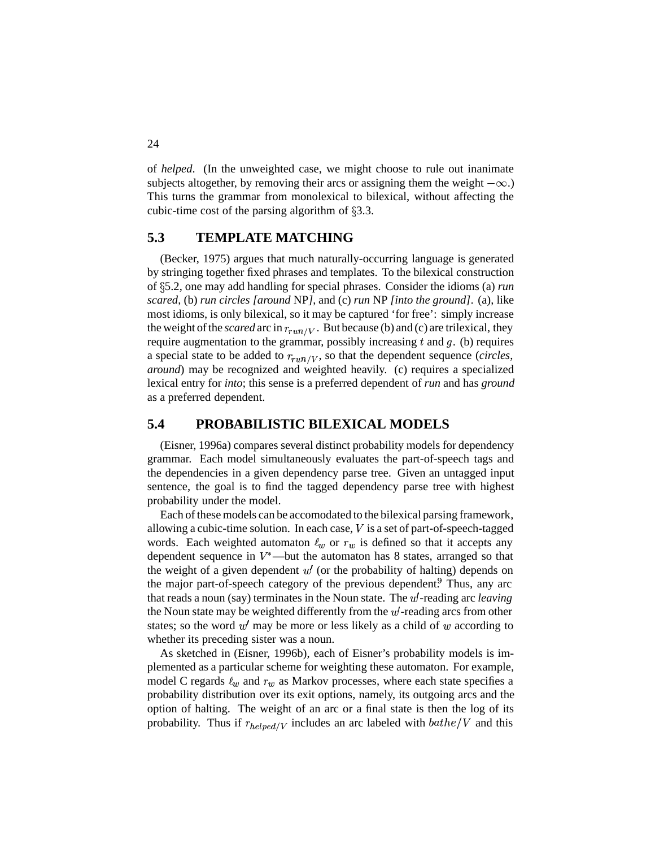of *helped*. (In the unweighted case, we might choose to rule out inanimate subjects altogether, by removing their arcs or assigning them the weight  $-\infty$ .) This turns the grammar from monolexical to bilexical, without affecting the cubic-time cost of the parsing algorithm of  $\S 3.3$ .

### **5.3 TEMPLATE MATCHING**

(Becker, 1975) argues that much naturally-occurring language is generated by stringing together fixed phrases and templates. To the bilexical construction of 5.2, one may add handling for special phrases. Consider the idioms (a) *run scared*, (b) *run circles [around* NP*]*, and (c) *run* NP *[into the ground]*. (a), like most idioms, is only bilexical, so it may be captured 'for free': simply increase the weight of the *scared* arc in  $r_{run/V}$ . But because (b) and (c) are trilexical, they require augmentation to the grammar, possibly increasing  $t$  and  $g$ . (b) requires a special state to be added to  $r_{run/V}$ , so that the dependent sequence (*circles*, *around*) may be recognized and weighted heavily. (c) requires a specialized lexical entry for *into*; this sense is a preferred dependent of *run* and has *ground* as a preferred dependent.

### **5.4 PROBABILISTIC BILEXICAL MODELS**

(Eisner, 1996a) compares several distinct probability models for dependency grammar. Each model simultaneously evaluates the part-of-speech tags and the dependencies in a given dependency parse tree. Given an untagged input sentence, the goal is to find the tagged dependency parse tree with highest probability under the model.

Each of these models can be accomodated to the bilexical parsing framework, allowing a cubic-time solution. In each case,  $V$  is a set of part-of-speech-tagged words. Each weighted automaton  $\ell_w$  or  $r_w$  is defined so that it accepts any dependent sequence in  $V^*$ —but the automaton has 8 states, arranged so that the weight of a given dependent  $w'$  (or the probability of halting) depends on the major part-of-speech category of the previous dependent.<sup>9</sup> Thus, any arc that reads a noun (say) terminates in the Noun state. The *-reading arc <i>leaving* the Noun state may be weighted differently from the *-reading arcs from other* states; so the word  $w'$  may be more or less likely as a child of  $w$  according to whether its preceding sister was a noun.

As sketched in (Eisner, 1996b), each of Eisner's probability models is implemented as a particular scheme for weighting these automaton. For example, model C regards  $\ell_w$  and  $r_w$  as Markov processes, where each state specifies a probability distribution over its exit options, namely, its outgoing arcs and the option of halting. The weight of an arc or a final state is then the log of its probability. Thus if  $r_{helued/V}$  includes an arc labeled with  $bathe/V$  and this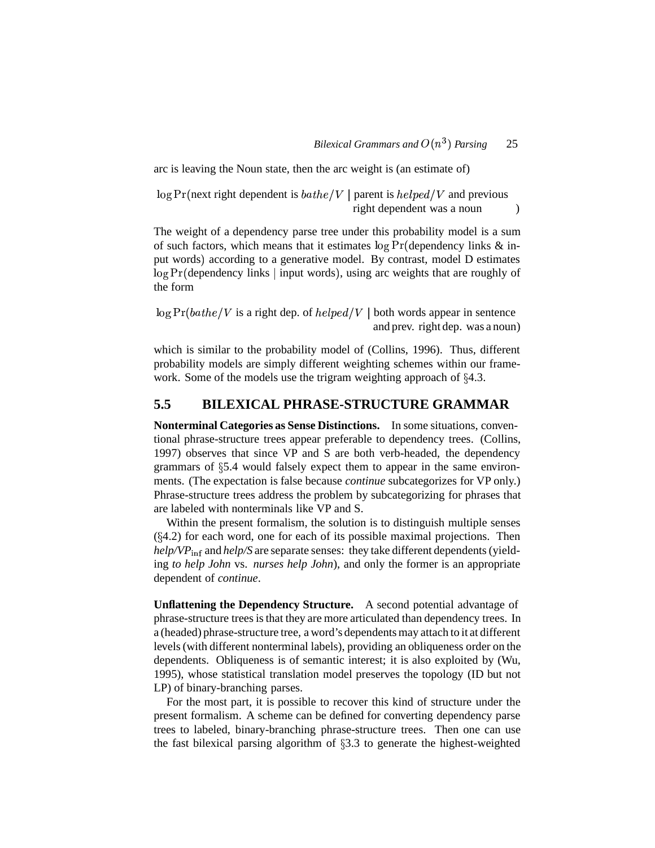arc is leaving the Noun state, then the arc weight is (an estimate of)

 $\log \Pr(\text{next right dependent is } bathe/V \mid \text{parent is } helped/V \text{ and previous})$ right dependent was a noun ()

The weight of a dependency parse tree under this probability model is a sum of such factors, which means that it estimates  $\log \Pr$  (dependency links  $\&$  input words) according to a generative model. By contrast, model D estimates log Pr (dependency links | input words), using arc weights that are roughly of the form

 $\log \Pr(bathe/V)$  is a right dep. of  $helped/V \mid$  both words appear in sentence and prev. right dep. was a noun)

which is similar to the probability model of (Collins, 1996). Thus, different probability models are simply different weighting schemes within our framework. Some of the models use the trigram weighting approach of  $\S 4.3$ .

### **5.5 BILEXICAL PHRASE-STRUCTURE GRAMMAR**

**Nonterminal Categories as Sense Distinctions.** In some situations, conventional phrase-structure trees appear preferable to dependency trees. (Collins, 1997) observes that since VP and S are both verb-headed, the dependency grammars of  $\S$ 5.4 would falsely expect them to appear in the same environments. (The expectation is false because *continue* subcategorizes for VP only.) Phrase-structure trees address the problem by subcategorizing for phrases that are labeled with nonterminals like VP and S.

Within the present formalism, the solution is to distinguish multiple senses  $(\S 4.2)$  for each word, one for each of its possible maximal projections. Then *help/VP*<sub>inf</sub> and *help/S* are separate senses: they take different dependents (yielding *to help John* vs. *nurses help John*), and only the former is an appropriate dependent of *continue*.

**Unflattening the Dependency Structure.** A second potential advantage of phrase-structure trees isthat they are more articulated than dependency trees. In a (headed) phrase-structure tree, a word's dependentsmay attach to it at different levels(with different nonterminal labels), providing an obliqueness order on the dependents. Obliqueness is of semantic interest; it is also exploited by (Wu, 1995), whose statistical translation model preserves the topology (ID but not LP) of binary-branching parses.

For the most part, it is possible to recover this kind of structure under the present formalism. A scheme can be defined for converting dependency parse trees to labeled, binary-branching phrase-structure trees. Then one can use the fast bilexical parsing algorithm of  $\S 3.3$  to generate the highest-weighted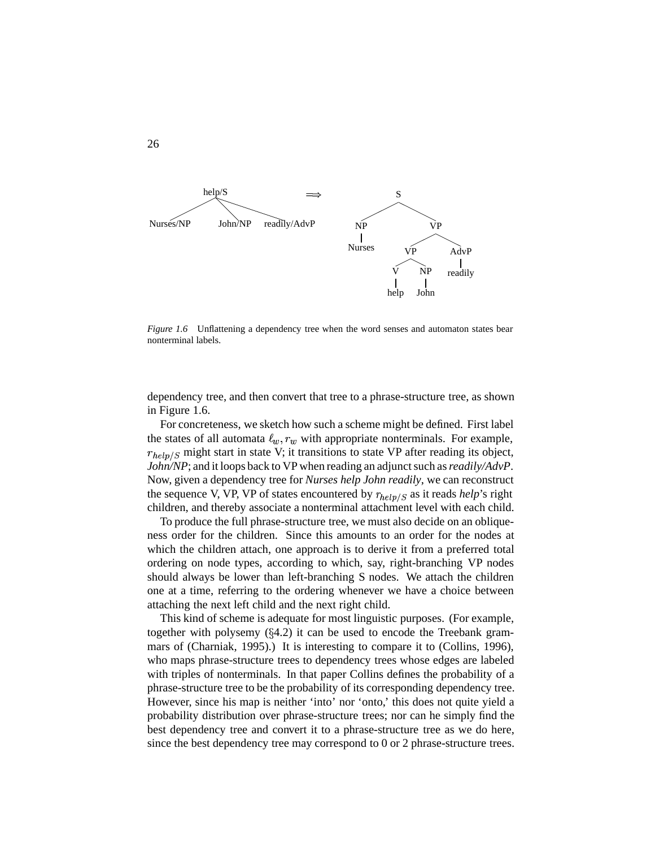

*Figure 1.6* Unflattening a dependency tree when the word senses and automaton states bear nonterminal labels.

dependency tree, and then convert that tree to a phrase-structure tree, as shown in Figure 1.6.

For concreteness, we sketch how such a scheme might be defined. First label the states of all automata  $\ell_w$ ,  $r_w$  with appropriate nonterminals. For example,  $r_{help/S}$  might start in state V; it transitions to state VP after reading its object, *John/NP*; and it loops back to VP when reading an adjunct such as *readily/AdvP*. Now, given a dependency tree for *Nurses help John readily*, we can reconstruct the sequence V, VP, VP of states encountered by  $r_{help/S}$  as it reads *help*'s right children, and thereby associate a nonterminal attachment level with each child.

To produce the full phrase-structure tree, we must also decide on an obliqueness order for the children. Since this amounts to an order for the nodes at which the children attach, one approach is to derive it from a preferred total ordering on node types, according to which, say, right-branching VP nodes should always be lower than left-branching S nodes. We attach the children one at a time, referring to the ordering whenever we have a choice between attaching the next left child and the next right child.

This kind of scheme is adequate for most linguistic purposes. (For example, together with polysemy  $(84.2)$  it can be used to encode the Treebank grammars of (Charniak, 1995).) It is interesting to compare it to (Collins, 1996), who maps phrase-structure trees to dependency trees whose edges are labeled with triples of nonterminals. In that paper Collins defines the probability of a phrase-structure tree to be the probability of its corresponding dependency tree. However, since his map is neither 'into' nor 'onto,' this does not quite yield a probability distribution over phrase-structure trees; nor can he simply find the best dependency tree and convert it to a phrase-structure tree as we do here, since the best dependency tree may correspond to 0 or 2 phrase-structure trees.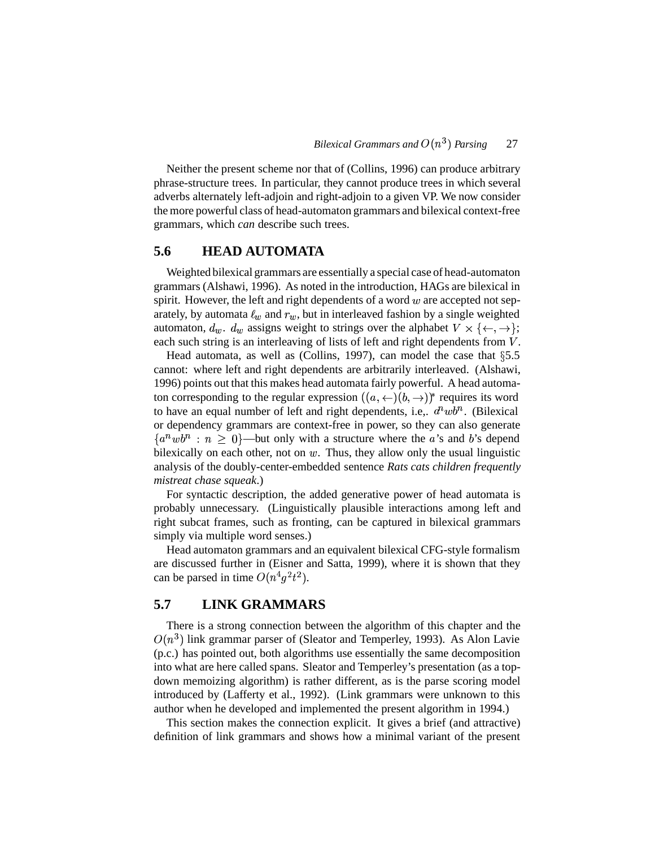Neither the present scheme nor that of (Collins, 1996) can produce arbitrary phrase-structure trees. In particular, they cannot produce trees in which several adverbs alternately left-adjoin and right-adjoin to a given VP. We now consider the more powerful class of head-automaton grammars and bilexical context-free grammars, which *can* describe such trees.

#### **5.6 HEAD AUTOMATA**

Weighted bilexical grammars are essentially a special case of head-automaton grammars (Alshawi, 1996). As noted in the introduction, HAGs are bilexical in spirit. However, the left and right dependents of a word  $w$  are accepted not separately, by automata  $\ell_w$  and  $r_w$ , but in interleaved fashion by a single weighted automaton,  $d_w$ .  $d_w$  assigns weight to strings over the alphabet  $V \times \{\leftarrow, \rightarrow\};$ each such string is an interleaving of lists of left and right dependents from  $V$ .

Head automata, as well as (Collins, 1997), can model the case that  $\S 5.5$ cannot: where left and right dependents are arbitrarily interleaved. (Alshawi, 1996) points out that this makes head automata fairly powerful. A head automaton corresponding to the regular expression  $((a, \leftarrow)(b, \rightarrow))$ <sup>\*</sup> requires its word to have an equal number of left and right dependents, i.e.,  $d<sup>n</sup>wb<sup>n</sup>$ . (Bilexical or dependency grammars are context-free in power, so they can also generate  $\{a^nwb^n : n \geq 0\}$ —but only with a structure where the a's and b's depend bilexically on each other, not on  $w$ . Thus, they allow only the usual linguistic analysis of the doubly-center-embedded sentence *Rats cats children frequently mistreat chase squeak*.)

For syntactic description, the added generative power of head automata is probably unnecessary. (Linguistically plausible interactions among left and right subcat frames, such as fronting, can be captured in bilexical grammars simply via multiple word senses.)

Head automaton grammars and an equivalent bilexical CFG-style formalism are discussed further in (Eisner and Satta, 1999), where it is shown that they can be parsed in time  $O(n^4g^2t^2)$ .

### **5.7 LINK GRAMMARS**

There is a strong connection between the algorithm of this chapter and the  $O(n^3)$  link grammar parser of (Sleator and Temperley, 1993). As Alon Lavie (p.c.) has pointed out, both algorithms use essentially the same decomposition into what are here called spans. Sleator and Temperley's presentation (as a topdown memoizing algorithm) is rather different, as is the parse scoring model introduced by (Lafferty et al., 1992). (Link grammars were unknown to this author when he developed and implemented the present algorithm in 1994.)

This section makes the connection explicit. It gives a brief (and attractive) definition of link grammars and shows how a minimal variant of the present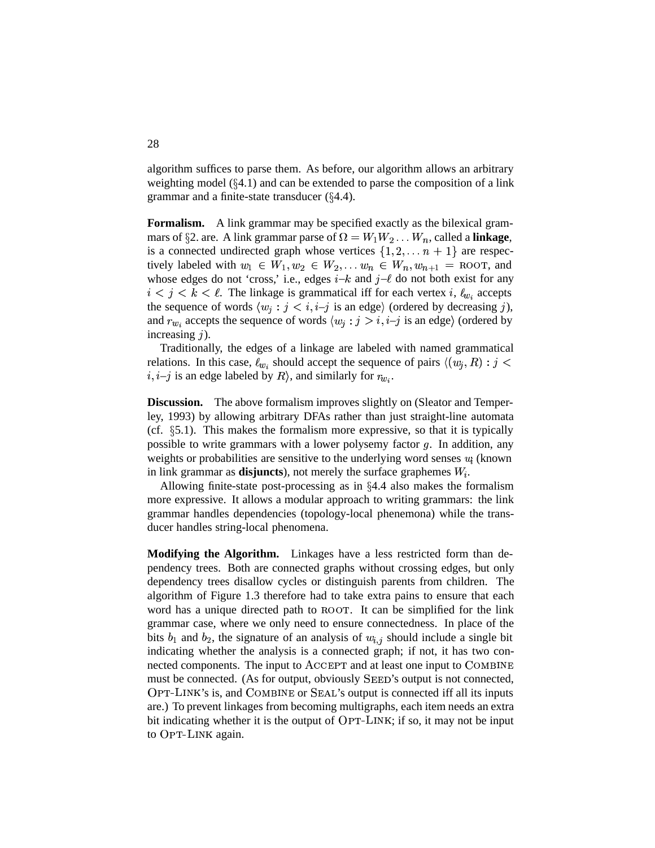algorithm suffices to parse them. As before, our algorithm allows an arbitrary weighting model  $(\S 4.1)$  and can be extended to parse the composition of a link grammar and a finite-state transducer  $(\S 4.4)$ .

**Formalism.** A link grammar may be specified exactly as the bilexical grammars of §2. are. A link grammar parse of  $\Omega = W_1 W_2 \dots W_n$ , called a **linkage**, is a connected undirected graph whose vertices  $\{1, 2, \ldots n + 1\}$  are respectively labeled with  $w_1 \in W_1, w_2 \in W_2, \dots w_n \in W_n, w_{n+1} = \text{RootT}, \text{ and}$ whose edges do not 'cross,' i.e., edges  $i-k$  and  $j-\ell$  do not both exist for any  $i < j < k < \ell$ . The linkage is grammatical iff for each vertex i,  $\ell_{w_i}$  accepts the sequence of words  $\langle w_j : j \rangle \langle i, i-j \rangle$  is an edge) (ordered by decreasing j), and  $r_{w_i}$  accepts the sequence of words  $\langle w_j : j > i, i-j$  is an edge) (ordered by increasing  $j$ ).

Traditionally, the edges of a linkage are labeled with named grammatical relations. In this case,  $\ell_{w_i}$  should accept the sequence of pairs  $\langle (w_i, R) : j \rangle$  $i, i-j$  is an edge labeled by  $R\rangle$ , and similarly for  $r_{w_i}$ .

**Discussion.** The above formalism improves slightly on (Sleator and Temperley, 1993) by allowing arbitrary DFAs rather than just straight-line automata (cf.  $\S$ 5.1). This makes the formalism more expressive, so that it is typically possible to write grammars with a lower polysemy factor  $g$ . In addition, any weights or probabilities are sensitive to the underlying word senses  $w_i$  (known in link grammar as **disjuncts**), not merely the surface graphemes  $W_i$ .

Allowing finite-state post-processing as in  $\S 4.4$  also makes the formalism more expressive. It allows a modular approach to writing grammars: the link grammar handles dependencies (topology-local phenemona) while the transducer handles string-local phenomena.

**Modifying the Algorithm.** Linkages have a less restricted form than dependency trees. Both are connected graphs without crossing edges, but only dependency trees disallow cycles or distinguish parents from children. The algorithm of Figure 1.3 therefore had to take extra pains to ensure that each word has a unique directed path to ROOT. It can be simplified for the link grammar case, where we only need to ensure connectedness. In place of the bits  $b_1$  and  $b_2$ , the signature of an analysis of  $w_{i,j}$  should include a single bit indicating whether the analysis is a connected graph; if not, it has two connected components. The input to  $\Lambda$ CCEPT and at least one input to  $\text{COMBINE}$ must be connected. (As for output, obviously SEED's output is not connected, OPT-LINK's is, and COMBINE or SEAL's output is connected iff all its inputs are.) To prevent linkages from becoming multigraphs, each item needs an extra bit indicating whether it is the output of OPT-LINK; if so, it may not be input to OPT-LINK again.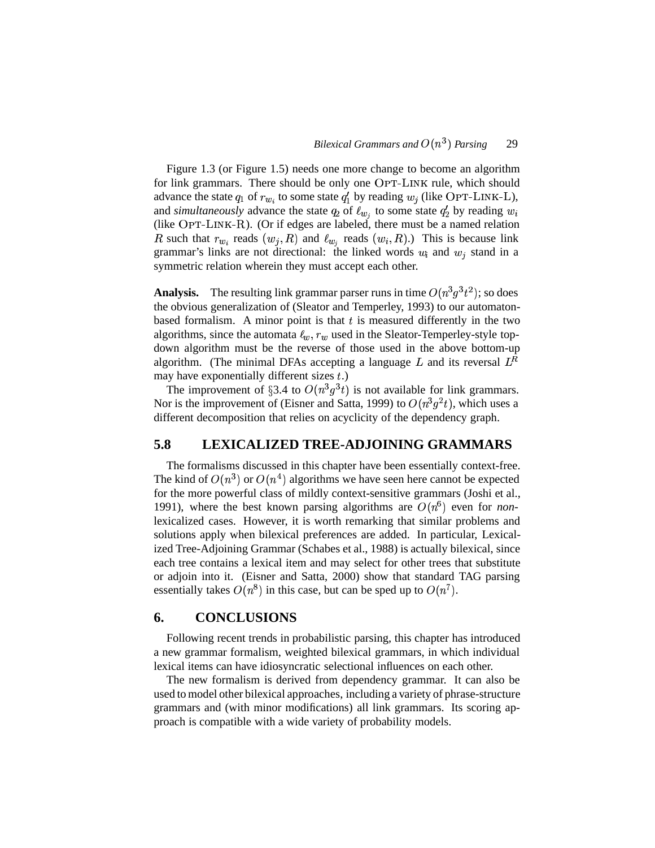Figure 1.3 (or Figure 1.5) needs one more change to become an algorithm for link grammars. There should be only one OPT-LINK rule, which should advance the state  $q_1$  of  $r_{w_i}$  to some state  $q'_1$  by reading  $w_i$  (like OPT-LINK-L), and *simultaneously* advance the state  $q_2$  of  $\ell_{w_j}$  to some state  $q'_2$  by reading  $w_i$ (like  $\text{OPT-LINK-R}$ ). (Or if edges are labeled, there must be a named relation R such that  $r_{w_i}$  reads  $(w_i, R)$  and  $\ell_{w_i}$  reads  $(w_i, R)$ .) This is because link grammar's links are not directional: the linked words  $w_i$  and  $w_j$  stand in a symmetric relation wherein they must accept each other.

**Analysis.** The resulting link grammar parser runs in time  $O(n^3q^3t^2)$ ; so does the obvious generalization of (Sleator and Temperley, 1993) to our automatonbased formalism. A minor point is that  $t$  is measured differently in the two algorithms, since the automata  $\ell_w$ ,  $r_w$  used in the Sleator-Temperley-style topdown algorithm must be the reverse of those used in the above bottom-up algorithm. (The minimal DFAs accepting a language L and its reversal  $L^R$ may have exponentially different sizes  $t$ .)

The improvement of §3.4 to  $O(n^3q^3t)$  is not available for link grammars. Nor is the improvement of (Eisner and Satta, 1999) to  $O(n^3 g^2 t)$ , which uses a different decomposition that relies on acyclicity of the dependency graph.

### **5.8 LEXICALIZED TREE-ADJOINING GRAMMARS**

The formalisms discussed in this chapter have been essentially context-free. The kind of  $O(n^3)$  or  $O(n^4)$  algorithms we have seen here cannot be expected for the more powerful class of mildly context-sensitive grammars (Joshi et al., 1991), where the best known parsing algorithms are  $O(n^6)$  even for *non*lexicalized cases. However, it is worth remarking that similar problems and solutions apply when bilexical preferences are added. In particular, Lexicalized Tree-Adjoining Grammar (Schabes et al., 1988) is actually bilexical, since each tree contains a lexical item and may select for other trees that substitute or adjoin into it. (Eisner and Satta, 2000) show that standard TAG parsing essentially takes  $O(n^8)$  in this case, but can be sped up to  $O(n^7)$ .

### **6. CONCLUSIONS**

Following recent trends in probabilistic parsing, this chapter has introduced a new grammar formalism, weighted bilexical grammars, in which individual lexical items can have idiosyncratic selectional influences on each other.

The new formalism is derived from dependency grammar. It can also be used to model other bilexical approaches, including a variety of phrase-structure grammars and (with minor modifications) all link grammars. Its scoring approach is compatible with a wide variety of probability models.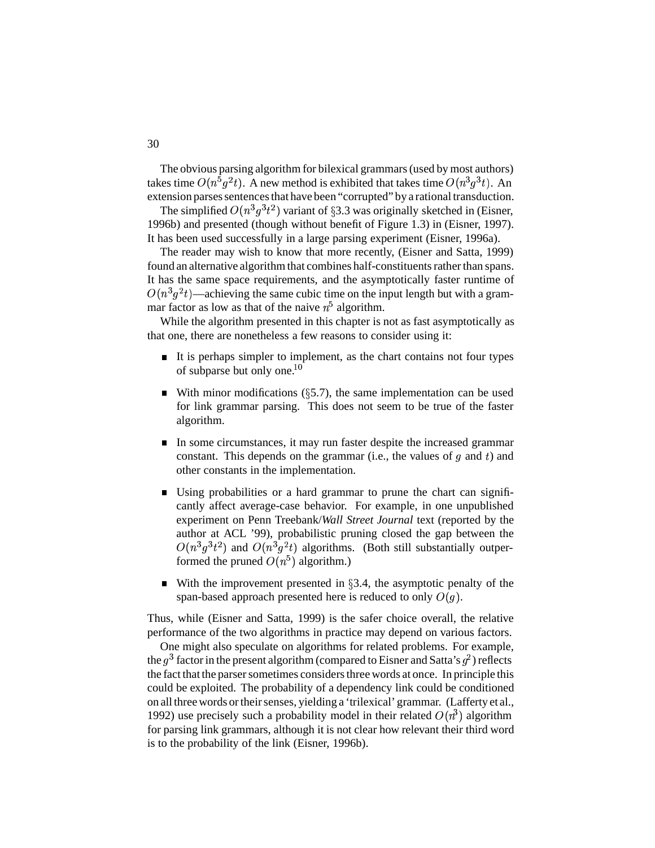The obvious parsing algorithm for bilexical grammars(used by most authors) takes time  $O(n^5g^2t)$ . A new method is exhibited that takes time  $O(n^3g^3t)$ . An extension parses sentences that have been "corrupted" by a rational transduction.

The simplified  $O(n^3 g^3 t^2)$  variant of §3.3 was originally sketched in (Eisner, 1996b) and presented (though without benefit of Figure 1.3) in (Eisner, 1997). It has been used successfully in a large parsing experiment (Eisner, 1996a).

The reader may wish to know that more recently, (Eisner and Satta, 1999) found an alternative algorithm that combines half-constituents rather than spans. It has the same space requirements, and the asymptotically faster runtime of  $O(n^3g^2t)$ —achieving the same cubic time on the input length but with a grammar factor as low as that of the naive  $n^5$  algorithm.

While the algorithm presented in this chapter is not as fast asymptotically as that one, there are nonetheless a few reasons to consider using it:

- It is perhaps simpler to implement, as the chart contains not four types of subparse but only one. $10$
- With minor modifications ( $\S$ 5.7), the same implementation can be used for link grammar parsing. This does not seem to be true of the faster algorithm.
- In some circumstances, it may run faster despite the increased grammar  $\blacksquare$ constant. This depends on the grammar (i.e., the values of  $g$  and  $t$ ) and other constants in the implementation.
- Using probabilities or a hard grammar to prune the chart can significantly affect average-case behavior. For example, in one unpublished experiment on Penn Treebank/*Wall Street Journal* text (reported by the author at ACL '99), probabilistic pruning closed the gap between the  $O(n^3q^3t^2)$  and  $O(n^3q^2t)$  algorithms. (Both still substantially outperformed the pruned  $O(n^5)$  algorithm.)
- $\blacksquare$ With the improvement presented in  $\S 3.4$ , the asymptotic penalty of the span-based approach presented here is reduced to only  $O(g)$ .

Thus, while (Eisner and Satta, 1999) is the safer choice overall, the relative performance of the two algorithms in practice may depend on various factors.

One might also speculate on algorithms for related problems. For example, the  $g^3$  factor in the present algorithm (compared to Eisner and Satta's  $g^2$ ) reflects the fact that the parser sometimes considers three words at once. In principle this could be exploited. The probability of a dependency link could be conditioned on all three words or their senses, yielding a 'trilexical' grammar. (Lafferty et al., 1992) use precisely such a probability model in their related  $O(n^3)$  algorithm for parsing link grammars, although it is not clear how relevant their third word is to the probability of the link (Eisner, 1996b).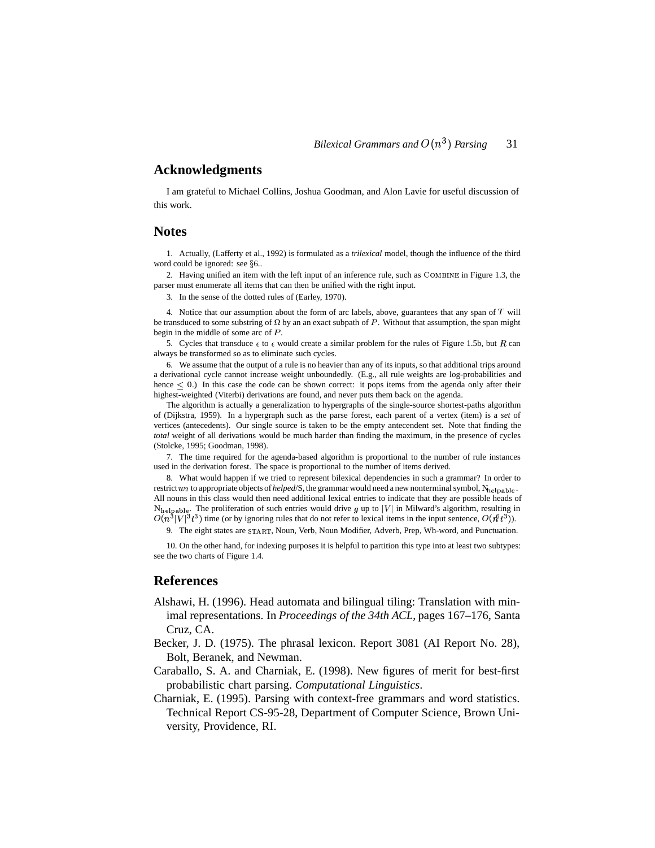### **Acknowledgments**

I am grateful to Michael Collins, Joshua Goodman, and Alon Lavie for useful discussion of this work.

### **Notes**

1. Actually, (Lafferty et al., 1992) is formulated as a *trilexical* model, though the influence of the third word could be ignored: see §6..

2. Having unified an item with the left input of an inference rule, such as COMBINE in Figure 1.3, the parser must enumerate all items that can then be unified with the right input.

3. In the sense of the dotted rules of (Earley, 1970).

4. Notice that our assumption about the form of arc labels, above, guarantees that any span of  $T$  will be transduced to some substring of  $\Omega$  by an an exact subpath of P. Without that assumption, the span might begin in the middle of some arc of  $P$ .

5. Cycles that transduce  $\epsilon$  to  $\epsilon$  would create a similar problem for the rules of Figure 1.5b, but R can always be transformed so as to eliminate such cycles.

6. We assume that the output of a rule is no heavier than any of its inputs, so that additional trips around a derivational cycle cannot increase weight unboundedly. (E.g., all rule weights are log-probabilities and hence  $\leq 0$ .) In this case the code can be shown correct: it pops items from the agenda only after their highest-weighted (Viterbi) derivations are found, and never puts them back on the agenda.

The algorithm is actually a generalization to hypergraphs of the single-source shortest-paths algorithm of (Dijkstra, 1959). In a hypergraph such as the parse forest, each parent of a vertex (item) is a *set* of vertices (antecedents). Our single source is taken to be the empty antecendent set. Note that finding the *total* weight of all derivations would be much harder than finding the maximum, in the presence of cycles (Stolcke, 1995; Goodman, 1998).

7. The time required for the agenda-based algorithm is proportional to the number of rule instances used in the derivation forest. The space is proportional to the number of items derived.

8. What would happen if we tried to represent bilexical dependencies in such a grammar? In order to restrict  $w_2$  to appropriate objects of *helped*/S, the grammar would need a new nonterminal symbol,  $N_{\text{helpable}}$ . All nouns in this class would then need additional lexical entries to indicate that they are possible heads of  $N_{\text{helpable}}$ . The proliferation of such entries would drive g up to  $|V|$  in Milward's algorithm, resulting in  $O(n^3|V|^3 t^3)$  time (or by ignoring rules that do not refer to lexical items in the input sentence,  $O(n^3 t^3)$ ).

9. The eight states are START, Noun, Verb, Noun Modifier, Adverb, Prep, Wh-word, and Punctuation.

10. On the other hand, for indexing purposes it is helpful to partition this type into at least two subtypes: see the two charts of Figure 1.4.

#### **References**

- Alshawi, H. (1996). Head automata and bilingual tiling: Translation with minimal representations. In *Proceedings of the 34th ACL*, pages 167–176, Santa Cruz, CA.
- Becker, J. D. (1975). The phrasal lexicon. Report 3081 (AI Report No. 28), Bolt, Beranek, and Newman.
- Caraballo, S. A. and Charniak, E. (1998). New figures of merit for best-first probabilistic chart parsing. *Computational Linguistics*.
- Charniak, E. (1995). Parsing with context-free grammars and word statistics. Technical Report CS-95-28, Department of Computer Science, Brown University, Providence, RI.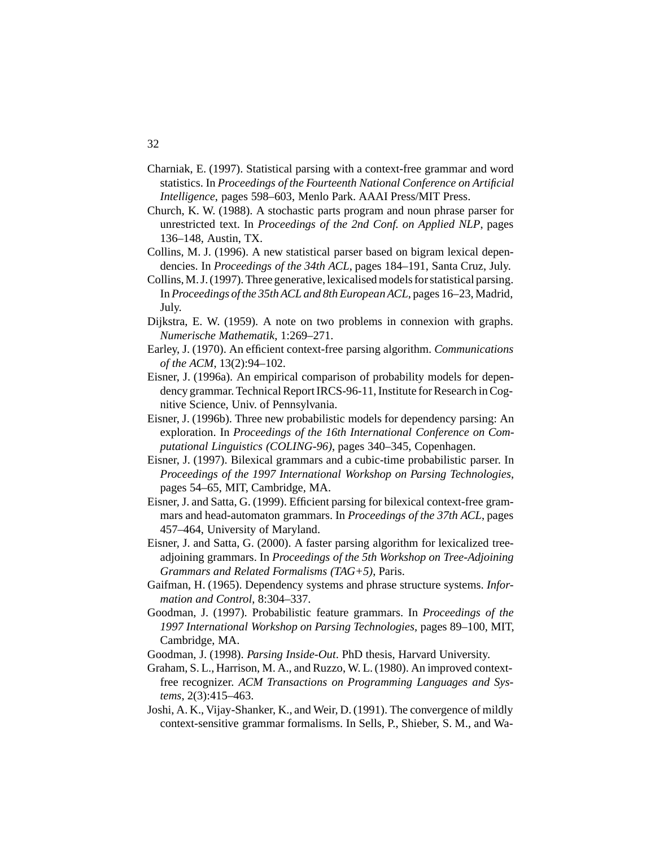- Charniak, E. (1997). Statistical parsing with a context-free grammar and word statistics. In *Proceedings of the Fourteenth National Conference on Artificial Intelligence*, pages 598–603, Menlo Park. AAAI Press/MIT Press.
- Church, K. W. (1988). A stochastic parts program and noun phrase parser for unrestricted text. In *Proceedings of the 2nd Conf. on Applied NLP*, pages 136–148, Austin, TX.
- Collins, M. J. (1996). A new statistical parser based on bigram lexical dependencies. In *Proceedings of the 34th ACL*, pages 184–191, Santa Cruz, July.
- Collins, M.J. (1997). Three generative, lexicalised models for statistical parsing. In *Proceedings of the 35th ACL and 8th European ACL*, pages 16–23, Madrid, July.
- Dijkstra, E. W. (1959). A note on two problems in connexion with graphs. *Numerische Mathematik*, 1:269–271.
- Earley, J. (1970). An efficient context-free parsing algorithm. *Communications of the ACM*, 13(2):94–102.
- Eisner, J. (1996a). An empirical comparison of probability models for dependency grammar. Technical Report IRCS-96-11, Institute for Research in Cognitive Science, Univ. of Pennsylvania.
- Eisner, J. (1996b). Three new probabilistic models for dependency parsing: An exploration. In *Proceedings of the 16th International Conference on Computational Linguistics (COLING-96)*, pages 340–345, Copenhagen.
- Eisner, J. (1997). Bilexical grammars and a cubic-time probabilistic parser. In *Proceedings of the 1997 International Workshop on Parsing Technologies*, pages 54–65, MIT, Cambridge, MA.
- Eisner, J. and Satta, G. (1999). Efficient parsing for bilexical context-free grammars and head-automaton grammars. In *Proceedings of the 37th ACL*, pages 457–464, University of Maryland.
- Eisner, J. and Satta, G. (2000). A faster parsing algorithm for lexicalized treeadjoining grammars. In *Proceedings of the 5th Workshop on Tree-Adjoining Grammars and Related Formalisms (TAG+5)*, Paris.
- Gaifman, H. (1965). Dependency systems and phrase structure systems. *Information and Control*, 8:304–337.
- Goodman, J. (1997). Probabilistic feature grammars. In *Proceedings of the 1997 International Workshop on Parsing Technologies*, pages 89–100, MIT, Cambridge, MA.
- Goodman, J. (1998). *Parsing Inside-Out*. PhD thesis, Harvard University.
- Graham, S. L., Harrison, M. A., and Ruzzo, W. L.(1980). An improved contextfree recognizer. *ACM Transactions on Programming Languages and Systems*, 2(3):415–463.
- Joshi, A. K., Vijay-Shanker, K., and Weir, D.(1991). The convergence of mildly context-sensitive grammar formalisms. In Sells, P., Shieber, S. M., and Wa-